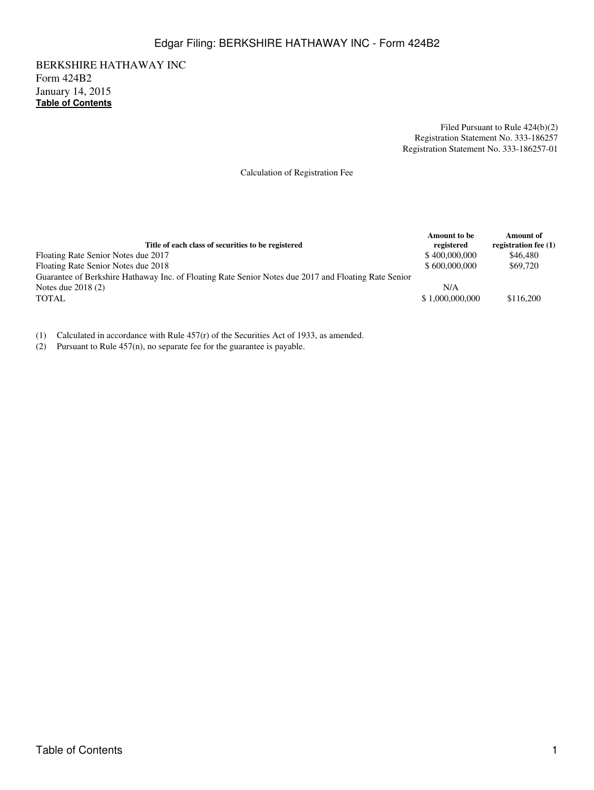## Edgar Filing: BERKSHIRE HATHAWAY INC - Form 424B2

BERKSHIRE HATHAWAY INC Form 424B2 January 14, 2015 **[Table of Contents](#page-30-0)**

> Filed Pursuant to Rule 424(b)(2) Registration Statement No. 333-186257 Registration Statement No. 333-186257-01

Calculation of Registration Fee

| Title of each class of securities to be registered                                                   | <b>Amount</b> to be<br>registered | <b>Amount of</b><br>registration fee (1) |
|------------------------------------------------------------------------------------------------------|-----------------------------------|------------------------------------------|
| Floating Rate Senior Notes due 2017                                                                  | \$400,000,000                     | \$46,480                                 |
| Floating Rate Senior Notes due 2018                                                                  | \$600,000,000                     | \$69,720                                 |
| Guarantee of Berkshire Hathaway Inc. of Floating Rate Senior Notes due 2017 and Floating Rate Senior |                                   |                                          |
| Notes due $2018(2)$                                                                                  | N/A                               |                                          |
| <b>TOTAL</b>                                                                                         | \$1,000,000,000                   | \$116,200                                |

(1) Calculated in accordance with Rule 457(r) of the Securities Act of 1933, as amended.

(2) Pursuant to Rule 457(n), no separate fee for the guarantee is payable.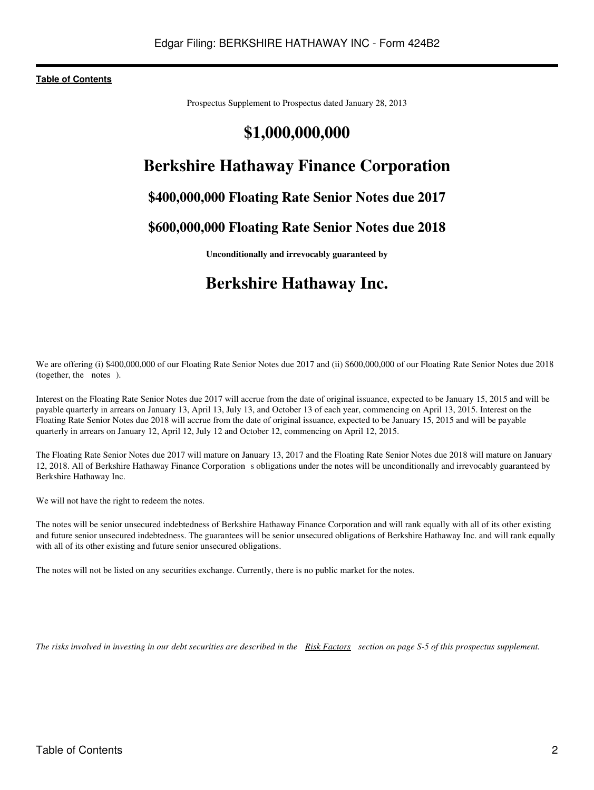Prospectus Supplement to Prospectus dated January 28, 2013

# **\$1,000,000,000**

# **Berkshire Hathaway Finance Corporation**

# **\$400,000,000 Floating Rate Senior Notes due 2017**

# **\$600,000,000 Floating Rate Senior Notes due 2018**

**Unconditionally and irrevocably guaranteed by**

# **Berkshire Hathaway Inc.**

We are offering (i) \$400,000,000 of our Floating Rate Senior Notes due 2017 and (ii) \$600,000,000 of our Floating Rate Senior Notes due 2018 (together, the notes).

Interest on the Floating Rate Senior Notes due 2017 will accrue from the date of original issuance, expected to be January 15, 2015 and will be payable quarterly in arrears on January 13, April 13, July 13, and October 13 of each year, commencing on April 13, 2015. Interest on the Floating Rate Senior Notes due 2018 will accrue from the date of original issuance, expected to be January 15, 2015 and will be payable quarterly in arrears on January 12, April 12, July 12 and October 12, commencing on April 12, 2015.

The Floating Rate Senior Notes due 2017 will mature on January 13, 2017 and the Floating Rate Senior Notes due 2018 will mature on January 12, 2018. All of Berkshire Hathaway Finance Corporations obligations under the notes will be unconditionally and irrevocably guaranteed by Berkshire Hathaway Inc.

We will not have the right to redeem the notes.

The notes will be senior unsecured indebtedness of Berkshire Hathaway Finance Corporation and will rank equally with all of its other existing and future senior unsecured indebtedness. The guarantees will be senior unsecured obligations of Berkshire Hathaway Inc. and will rank equally with all of its other existing and future senior unsecured obligations.

The notes will not be listed on any securities exchange. Currently, there is no public market for the notes.

*The risks involved in investing in our debt securities are described in the Risk Factors section on page S-5 of this prospectus supplement.*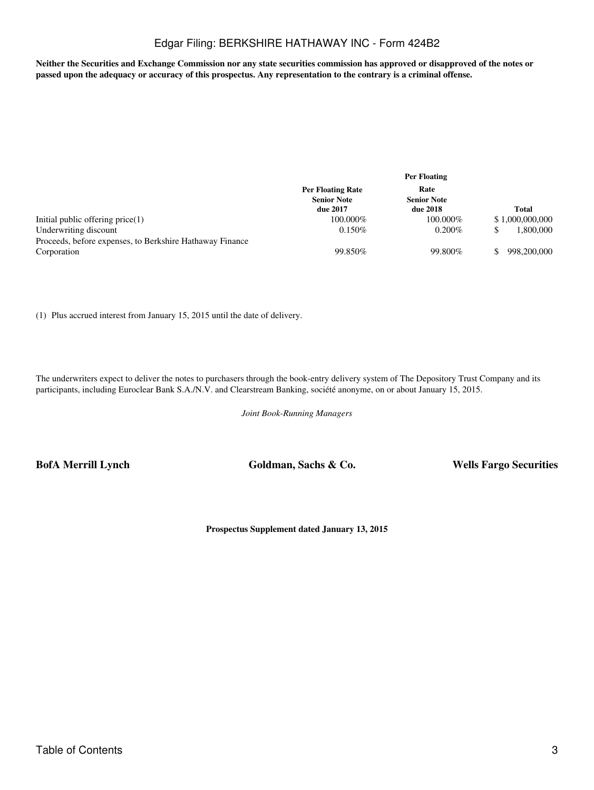## Edgar Filing: BERKSHIRE HATHAWAY INC - Form 424B2

**Neither the Securities and Exchange Commission nor any state securities commission has approved or disapproved of the notes or passed upon the adequacy or accuracy of this prospectus. Any representation to the contrary is a criminal offense.**

|                                                                                   | <b>Per Floating</b>                                        |                                        |                 |
|-----------------------------------------------------------------------------------|------------------------------------------------------------|----------------------------------------|-----------------|
|                                                                                   | <b>Per Floating Rate</b><br><b>Senior Note</b><br>due 2017 | Rate<br><b>Senior Note</b><br>due 2018 | <b>Total</b>    |
| Initial public offering $price(1)$                                                | 100.000%                                                   | 100.000%                               | \$1,000,000,000 |
| Underwriting discount<br>Proceeds, before expenses, to Berkshire Hathaway Finance | $0.150\%$                                                  | $0.200\%$                              | 1.800.000       |
| Corporation                                                                       | 99.850\%                                                   | 99.800%                                | 998,200,000     |

(1) Plus accrued interest from January 15, 2015 until the date of delivery.

The underwriters expect to deliver the notes to purchasers through the book-entry delivery system of The Depository Trust Company and its participants, including Euroclear Bank S.A./N.V. and Clearstream Banking, société anonyme, on or about January 15, 2015.

*Joint Book-Running Managers*

**BofA Merrill Lynch Goldman, Sachs & Co. Wells Fargo Securities**

**Prospectus Supplement dated January 13, 2015**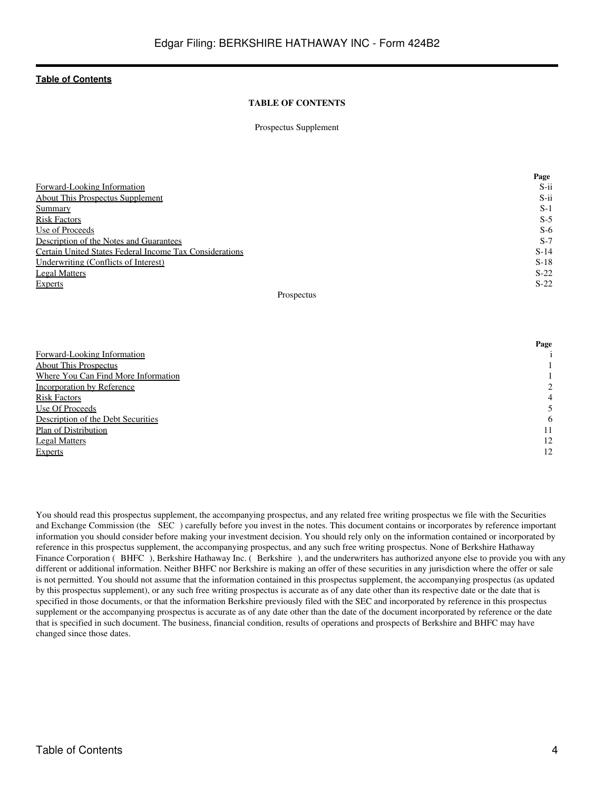## **TABLE OF CONTENTS**

#### Prospectus Supplement

|                                                         | Page    |
|---------------------------------------------------------|---------|
| Forward-Looking Information                             | $S$ -ii |
| <b>About This Prospectus Supplement</b>                 | $S$ -ii |
| <b>Summary</b>                                          | $S-1$   |
| <b>Risk Factors</b>                                     | $S-5$   |
| Use of Proceeds                                         | $S-6$   |
| Description of the Notes and Guarantees                 | $S-7$   |
| Certain United States Federal Income Tax Considerations | $S-14$  |
| Underwriting (Conflicts of Interest)                    | $S-18$  |
| <b>Legal Matters</b>                                    | $S-22$  |
| Experts                                                 | $S-22$  |

## Prospectus

|                                     | Page    |
|-------------------------------------|---------|
| Forward-Looking Information         |         |
| <b>About This Prospectus</b>        |         |
| Where You Can Find More Information |         |
| Incorporation by Reference          | $2^{1}$ |
| <b>Risk Factors</b>                 | 4       |
| Use Of Proceeds                     |         |
| Description of the Debt Securities  | 6       |
| Plan of Distribution                | 11      |
| <b>Legal Matters</b>                | 12      |
| <b>Experts</b>                      | 12      |

You should read this prospectus supplement, the accompanying prospectus, and any related free writing prospectus we file with the Securities and Exchange Commission (the SEC) carefully before you invest in the notes. This document contains or incorporates by reference important information you should consider before making your investment decision. You should rely only on the information contained or incorporated by reference in this prospectus supplement, the accompanying prospectus, and any such free writing prospectus. None of Berkshire Hathaway Finance Corporation (BHFC), Berkshire Hathaway Inc. (Berkshire), and the underwriters has authorized anyone else to provide you with any different or additional information. Neither BHFC nor Berkshire is making an offer of these securities in any jurisdiction where the offer or sale is not permitted. You should not assume that the information contained in this prospectus supplement, the accompanying prospectus (as updated by this prospectus supplement), or any such free writing prospectus is accurate as of any date other than its respective date or the date that is specified in those documents, or that the information Berkshire previously filed with the SEC and incorporated by reference in this prospectus supplement or the accompanying prospectus is accurate as of any date other than the date of the document incorporated by reference or the date that is specified in such document. The business, financial condition, results of operations and prospects of Berkshire and BHFC may have changed since those dates.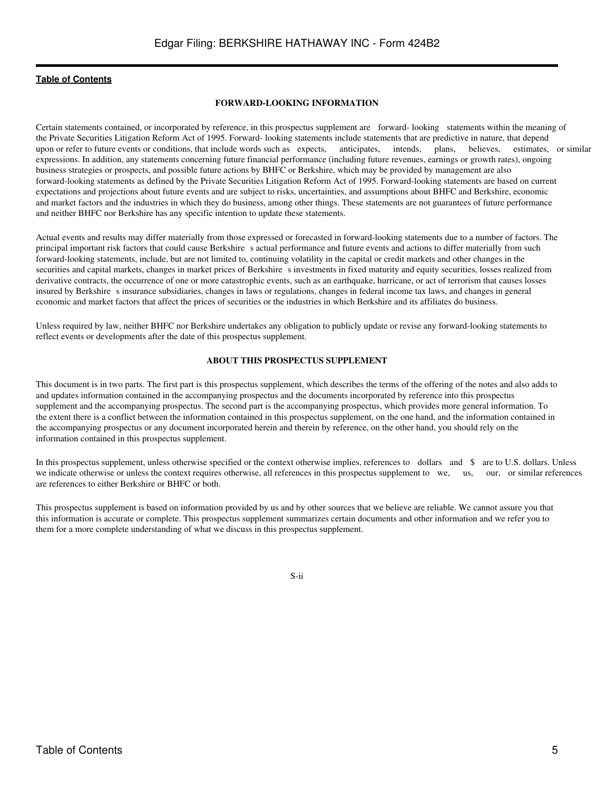#### **FORWARD-LOOKING INFORMATION**

<span id="page-4-0"></span>Certain statements contained, or incorporated by reference, in this prospectus supplement are forward- looking statements within the meaning of the Private Securities Litigation Reform Act of 1995. Forward- looking statements include statements that are predictive in nature, that depend<br>upon or refer to future events or conditions, that include words such as expec upon or refer to future events or conditions, that include words such as expects, anticipates, intends, plans, believes, estimates, or similar expressions. In addition, any statements concerning future financial performance (including future revenues, earnings or growth rates), ongoing business strategies or prospects, and possible future actions by BHFC or Berkshire, which may be provided by management are also forward-looking statements as defined by the Private Securities Litigation Reform Act of 1995. Forward-looking statements are based on current expectations and projections about future events and are subject to risks, uncertainties, and assumptions about BHFC and Berkshire, economic and market factors and the industries in which they do business, among other things. These statements are not guarantees of future performance and neither BHFC nor Berkshire has any specific intention to update these statements.

Actual events and results may differ materially from those expressed or forecasted in forward-looking statements due to a number of factors. The principal important risk factors that could cause Berkshire s actual performance and future events and actions to differ materially from such forward-looking statements, include, but are not limited to, continuing volatility in the capital or credit markets and other changes in the securities and capital markets, changes in market prices of Berkshire s investments in fixed maturity and equity securities, losses realized from derivative contracts, the occurrence of one or more catastrophic events, such as an earthquake, hurricane, or act of terrorism that causes losses insured by Berkshire s insurance subsidiaries, changes in laws or regulations, changes in federal income tax laws, and changes in general economic and market factors that affect the prices of securities or the industries in which Berkshire and its affiliates do business.

Unless required by law, neither BHFC nor Berkshire undertakes any obligation to publicly update or revise any forward-looking statements to reflect events or developments after the date of this prospectus supplement.

#### **ABOUT THIS PROSPECTUS SUPPLEMENT**

<span id="page-4-1"></span>This document is in two parts. The first part is this prospectus supplement, which describes the terms of the offering of the notes and also adds to and updates information contained in the accompanying prospectus and the documents incorporated by reference into this prospectus supplement and the accompanying prospectus. The second part is the accompanying prospectus, which provides more general information. To the extent there is a conflict between the information contained in this prospectus supplement, on the one hand, and the information contained in the accompanying prospectus or any document incorporated herein and therein by reference, on the other hand, you should rely on the information contained in this prospectus supplement.

In this prospectus supplement, unless otherwise specified or the context otherwise implies, references to dollars and \$ are to U.S. dollars. Unless we indicate otherwise or unless the context requires otherwise, all references in this prospectus supplement to we, us, our, or similar references are references to either Berkshire or BHFC or both.

This prospectus supplement is based on information provided by us and by other sources that we believe are reliable. We cannot assure you that this information is accurate or complete. This prospectus supplement summarizes certain documents and other information and we refer you to them for a more complete understanding of what we discuss in this prospectus supplement.

S-ii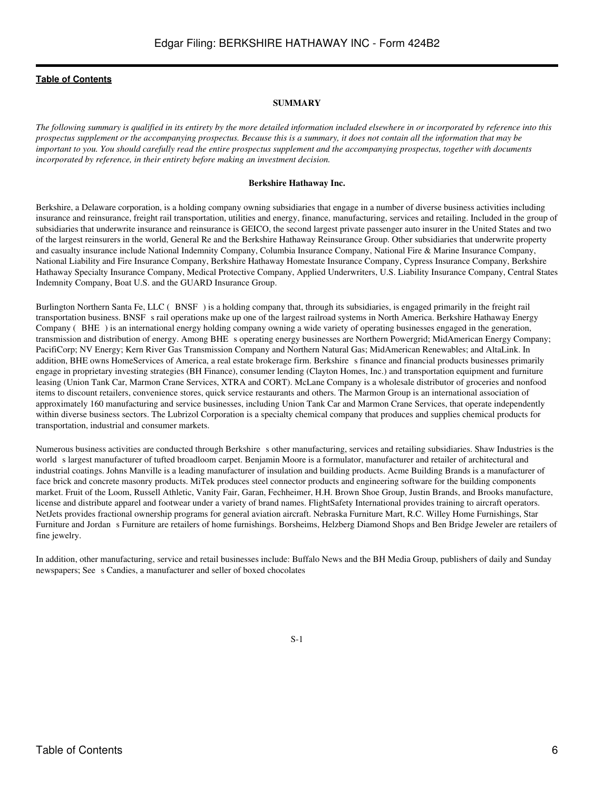#### **SUMMARY**

<span id="page-5-0"></span>*The following summary is qualified in its entirety by the more detailed information included elsewhere in or incorporated by reference into this prospectus supplement or the accompanying prospectus. Because this is a summary, it does not contain all the information that may be important to you. You should carefully read the entire prospectus supplement and the accompanying prospectus, together with documents incorporated by reference, in their entirety before making an investment decision.*

#### **Berkshire Hathaway Inc.**

Berkshire, a Delaware corporation, is a holding company owning subsidiaries that engage in a number of diverse business activities including insurance and reinsurance, freight rail transportation, utilities and energy, finance, manufacturing, services and retailing. Included in the group of subsidiaries that underwrite insurance and reinsurance is GEICO, the second largest private passenger auto insurer in the United States and two of the largest reinsurers in the world, General Re and the Berkshire Hathaway Reinsurance Group. Other subsidiaries that underwrite property and casualty insurance include National Indemnity Company, Columbia Insurance Company, National Fire & Marine Insurance Company, National Liability and Fire Insurance Company, Berkshire Hathaway Homestate Insurance Company, Cypress Insurance Company, Berkshire Hathaway Specialty Insurance Company, Medical Protective Company, Applied Underwriters, U.S. Liability Insurance Company, Central States Indemnity Company, Boat U.S. and the GUARD Insurance Group.

Burlington Northern Santa Fe, LLC (BNSF) is a holding company that, through its subsidiaries, is engaged primarily in the freight rail transportation business. BNSF s rail operations make up one of the largest railroad systems in North America. Berkshire Hathaway Energy Company (BHE) is an international energy holding company owning a wide variety of operating businesses engaged in the generation, transmission and distribution of energy. Among BHE s operating energy businesses are Northern Powergrid; MidAmerican Energy Company; PacifiCorp; NV Energy; Kern River Gas Transmission Company and Northern Natural Gas; MidAmerican Renewables; and AltaLink. In addition, BHE owns HomeServices of America, a real estate brokerage firm. Berkshire s finance and financial products businesses primarily engage in proprietary investing strategies (BH Finance), consumer lending (Clayton Homes, Inc.) and transportation equipment and furniture leasing (Union Tank Car, Marmon Crane Services, XTRA and CORT). McLane Company is a wholesale distributor of groceries and nonfood items to discount retailers, convenience stores, quick service restaurants and others. The Marmon Group is an international association of approximately 160 manufacturing and service businesses, including Union Tank Car and Marmon Crane Services, that operate independently within diverse business sectors. The Lubrizol Corporation is a specialty chemical company that produces and supplies chemical products for transportation, industrial and consumer markets.

Numerous business activities are conducted through Berkshire s other manufacturing, services and retailing subsidiaries. Shaw Industries is the world s largest manufacturer of tufted broadloom carpet. Benjamin Moore is a formulator, manufacturer and retailer of architectural and industrial coatings. Johns Manville is a leading manufacturer of insulation and building products. Acme Building Brands is a manufacturer of face brick and concrete masonry products. MiTek produces steel connector products and engineering software for the building components market. Fruit of the Loom, Russell Athletic, Vanity Fair, Garan, Fechheimer, H.H. Brown Shoe Group, Justin Brands, and Brooks manufacture, license and distribute apparel and footwear under a variety of brand names. FlightSafety International provides training to aircraft operators. NetJets provides fractional ownership programs for general aviation aircraft. Nebraska Furniture Mart, R.C. Willey Home Furnishings, Star Furniture and Jordan s Furniture are retailers of home furnishings. Borsheims, Helzberg Diamond Shops and Ben Bridge Jeweler are retailers of fine jewelry.

In addition, other manufacturing, service and retail businesses include: Buffalo News and the BH Media Group, publishers of daily and Sunday newspapers; See s Candies, a manufacturer and seller of boxed chocolates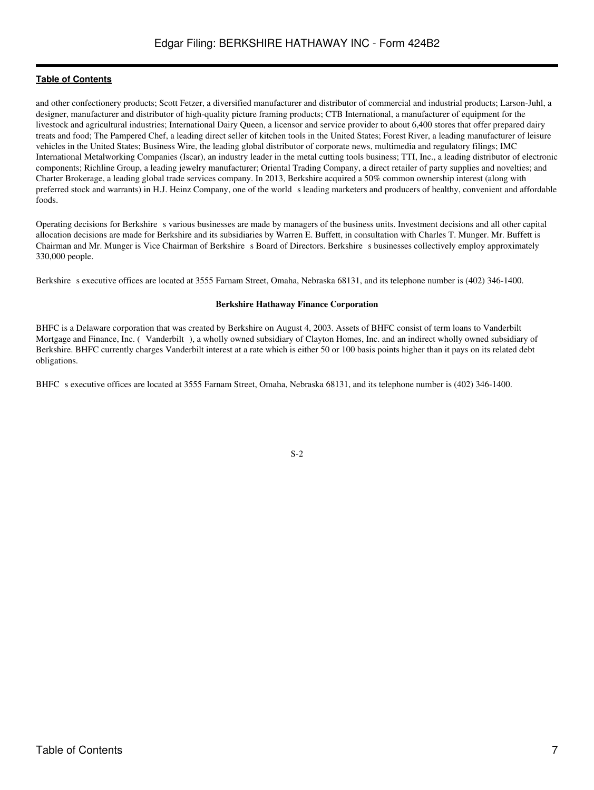and other confectionery products; Scott Fetzer, a diversified manufacturer and distributor of commercial and industrial products; Larson-Juhl, a designer, manufacturer and distributor of high-quality picture framing products; CTB International, a manufacturer of equipment for the livestock and agricultural industries; International Dairy Queen, a licensor and service provider to about 6,400 stores that offer prepared dairy treats and food; The Pampered Chef, a leading direct seller of kitchen tools in the United States; Forest River, a leading manufacturer of leisure vehicles in the United States; Business Wire, the leading global distributor of corporate news, multimedia and regulatory filings; IMC International Metalworking Companies (Iscar), an industry leader in the metal cutting tools business; TTI, Inc., a leading distributor of electronic components; Richline Group, a leading jewelry manufacturer; Oriental Trading Company, a direct retailer of party supplies and novelties; and Charter Brokerage, a leading global trade services company. In 2013, Berkshire acquired a 50% common ownership interest (along with preferred stock and warrants) in H.J. Heinz Company, one of the world sleading marketers and producers of healthy, convenient and affordable foods.

Operating decisions for Berkshire s various businesses are made by managers of the business units. Investment decisions and all other capital allocation decisions are made for Berkshire and its subsidiaries by Warren E. Buffett, in consultation with Charles T. Munger. Mr. Buffett is Chairman and Mr. Munger is Vice Chairman of Berkshire s Board of Directors. Berkshire s businesses collectively employ approximately 330,000 people.

Berkshire s executive offices are located at 3555 Farnam Street, Omaha, Nebraska 68131, and its telephone number is (402) 346-1400.

#### **Berkshire Hathaway Finance Corporation**

BHFC is a Delaware corporation that was created by Berkshire on August 4, 2003. Assets of BHFC consist of term loans to Vanderbilt Mortgage and Finance, Inc. (Vanderbilt), a wholly owned subsidiary of Clayton Homes, Inc. and an indirect wholly owned subsidiary of Berkshire. BHFC currently charges Vanderbilt interest at a rate which is either 50 or 100 basis points higher than it pays on its related debt obligations.

BHFC s executive offices are located at 3555 Farnam Street, Omaha, Nebraska 68131, and its telephone number is (402) 346-1400.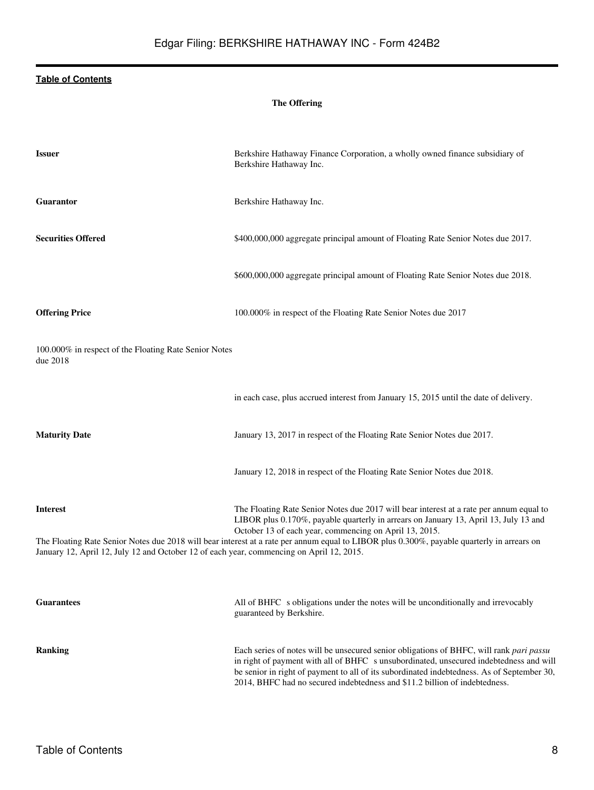## **The Offering**

| <b>Issuer</b>                                                                                               | Berkshire Hathaway Finance Corporation, a wholly owned finance subsidiary of<br>Berkshire Hathaway Inc.                                                                                                                                                                                                                                                                                 |
|-------------------------------------------------------------------------------------------------------------|-----------------------------------------------------------------------------------------------------------------------------------------------------------------------------------------------------------------------------------------------------------------------------------------------------------------------------------------------------------------------------------------|
| Guarantor                                                                                                   | Berkshire Hathaway Inc.                                                                                                                                                                                                                                                                                                                                                                 |
| <b>Securities Offered</b>                                                                                   | \$400,000,000 aggregate principal amount of Floating Rate Senior Notes due 2017.                                                                                                                                                                                                                                                                                                        |
|                                                                                                             | \$600,000,000 aggregate principal amount of Floating Rate Senior Notes due 2018.                                                                                                                                                                                                                                                                                                        |
| <b>Offering Price</b>                                                                                       | 100.000% in respect of the Floating Rate Senior Notes due 2017                                                                                                                                                                                                                                                                                                                          |
| 100.000% in respect of the Floating Rate Senior Notes<br>due 2018                                           |                                                                                                                                                                                                                                                                                                                                                                                         |
|                                                                                                             | in each case, plus accrued interest from January 15, 2015 until the date of delivery.                                                                                                                                                                                                                                                                                                   |
| <b>Maturity Date</b>                                                                                        | January 13, 2017 in respect of the Floating Rate Senior Notes due 2017.                                                                                                                                                                                                                                                                                                                 |
|                                                                                                             | January 12, 2018 in respect of the Floating Rate Senior Notes due 2018.                                                                                                                                                                                                                                                                                                                 |
| <b>Interest</b><br>January 12, April 12, July 12 and October 12 of each year, commencing on April 12, 2015. | The Floating Rate Senior Notes due 2017 will bear interest at a rate per annum equal to<br>LIBOR plus 0.170%, payable quarterly in arrears on January 13, April 13, July 13 and<br>October 13 of each year, commencing on April 13, 2015.<br>The Floating Rate Senior Notes due 2018 will bear interest at a rate per annum equal to LIBOR plus 0.300%, payable quarterly in arrears on |
|                                                                                                             |                                                                                                                                                                                                                                                                                                                                                                                         |
| <b>Guarantees</b>                                                                                           | All of BHFC s obligations under the notes will be unconditionally and irrevocably<br>guaranteed by Berkshire.                                                                                                                                                                                                                                                                           |
| <b>Ranking</b>                                                                                              | Each series of notes will be unsecured senior obligations of BHFC, will rank pari passu<br>in right of payment with all of BHFC s unsubordinated, unsecured indebtedness and will<br>be senior in right of payment to all of its subordinated indebtedness. As of September 30,<br>2014. BHFC had no secured indebtedness and \$11.2 billion of indebtedness.                           |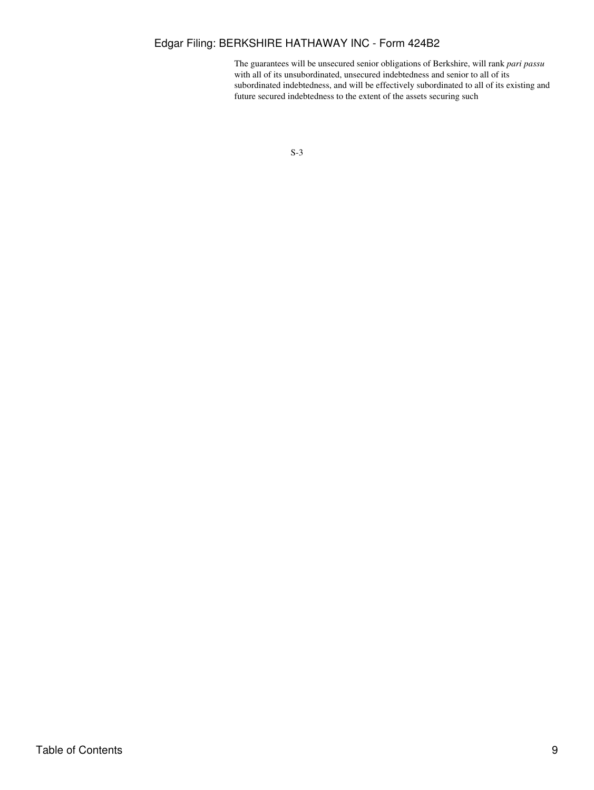## Edgar Filing: BERKSHIRE HATHAWAY INC - Form 424B2

The guarantees will be unsecured senior obligations of Berkshire, will rank *pari passu* with all of its unsubordinated, unsecured indebtedness and senior to all of its subordinated indebtedness, and will be effectively subordinated to all of its existing and future secured indebtedness to the extent of the assets securing such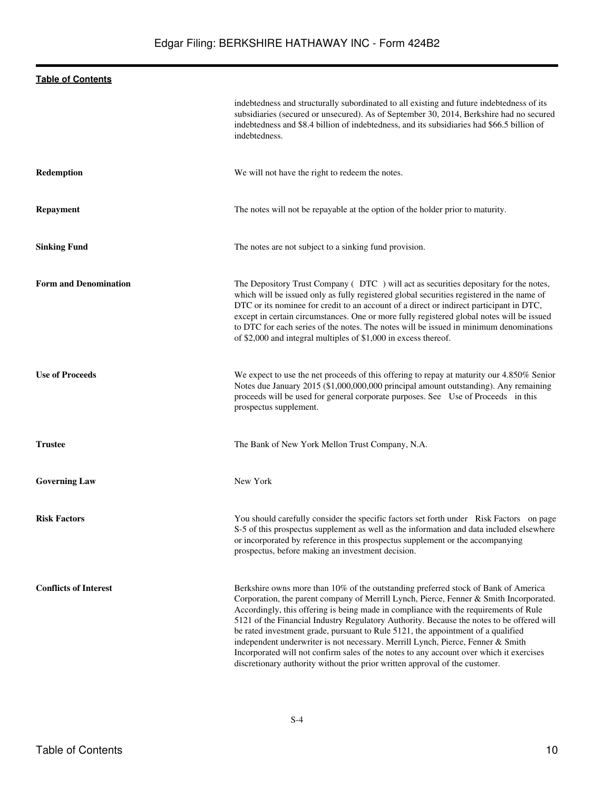|                              | indebtedness and structurally subordinated to all existing and future indebtedness of its<br>subsidiaries (secured or unsecured). As of September 30, 2014, Berkshire had no secured<br>indebtedness and \$8.4 billion of indebtedness, and its subsidiaries had \$66.5 billion of<br>indebtedness.                                                                                                                                                                                                                                                                                                                                                                                                                |
|------------------------------|--------------------------------------------------------------------------------------------------------------------------------------------------------------------------------------------------------------------------------------------------------------------------------------------------------------------------------------------------------------------------------------------------------------------------------------------------------------------------------------------------------------------------------------------------------------------------------------------------------------------------------------------------------------------------------------------------------------------|
| Redemption                   | We will not have the right to redeem the notes.                                                                                                                                                                                                                                                                                                                                                                                                                                                                                                                                                                                                                                                                    |
| <b>Repayment</b>             | The notes will not be repayable at the option of the holder prior to maturity.                                                                                                                                                                                                                                                                                                                                                                                                                                                                                                                                                                                                                                     |
| <b>Sinking Fund</b>          | The notes are not subject to a sinking fund provision.                                                                                                                                                                                                                                                                                                                                                                                                                                                                                                                                                                                                                                                             |
| <b>Form and Denomination</b> | The Depository Trust Company (DTC) will act as securities depositary for the notes,<br>which will be issued only as fully registered global securities registered in the name of<br>DTC or its nominee for credit to an account of a direct or indirect participant in DTC,<br>except in certain circumstances. One or more fully registered global notes will be issued<br>to DTC for each series of the notes. The notes will be issued in minimum denominations<br>of \$2,000 and integral multiples of \$1,000 in excess thereof.                                                                                                                                                                              |
| <b>Use of Proceeds</b>       | We expect to use the net proceeds of this offering to repay at maturity our 4.850% Senior<br>Notes due January 2015 (\$1,000,000,000 principal amount outstanding). Any remaining<br>proceeds will be used for general corporate purposes. See Use of Proceeds in this<br>prospectus supplement.                                                                                                                                                                                                                                                                                                                                                                                                                   |
| <b>Trustee</b>               | The Bank of New York Mellon Trust Company, N.A.                                                                                                                                                                                                                                                                                                                                                                                                                                                                                                                                                                                                                                                                    |
| <b>Governing Law</b>         | New York                                                                                                                                                                                                                                                                                                                                                                                                                                                                                                                                                                                                                                                                                                           |
| <b>Risk Factors</b>          | You should carefully consider the specific factors set forth under Risk Factors on page<br>S-5 of this prospectus supplement as well as the information and data included elsewhere<br>or incorporated by reference in this prospectus supplement or the accompanying<br>prospectus, before making an investment decision.                                                                                                                                                                                                                                                                                                                                                                                         |
| <b>Conflicts of Interest</b> | Berkshire owns more than 10% of the outstanding preferred stock of Bank of America<br>Corporation, the parent company of Merrill Lynch, Pierce, Fenner & Smith Incorporated.<br>Accordingly, this offering is being made in compliance with the requirements of Rule<br>5121 of the Financial Industry Regulatory Authority. Because the notes to be offered will<br>be rated investment grade, pursuant to Rule 5121, the appointment of a qualified<br>independent underwriter is not necessary. Merrill Lynch, Pierce, Fenner & Smith<br>Incorporated will not confirm sales of the notes to any account over which it exercises<br>discretionary authority without the prior written approval of the customer. |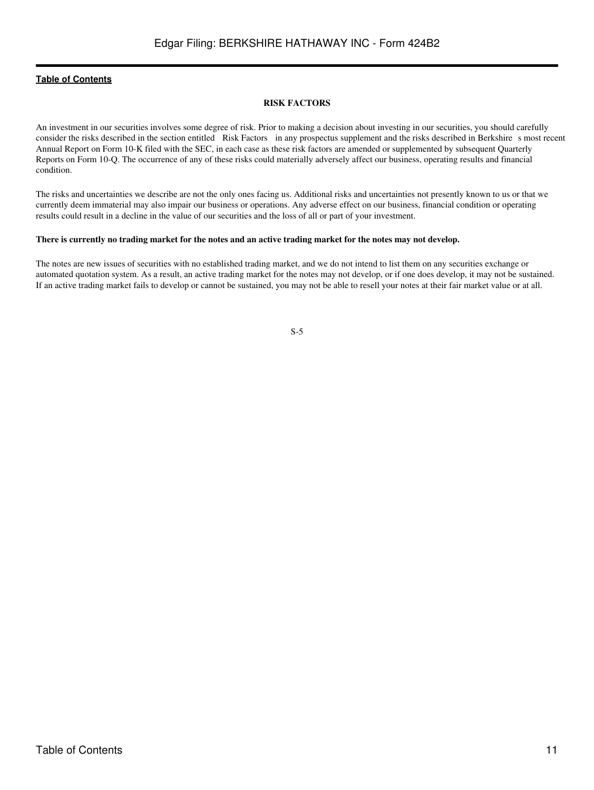### **RISK FACTORS**

<span id="page-10-0"></span>An investment in our securities involves some degree of risk. Prior to making a decision about investing in our securities, you should carefully consider the risks described in the section entitled Risk Factors in any prospectus supplement and the risks described in Berkshire s most recent Annual Report on Form 10-K filed with the SEC, in each case as these risk factors are amended or supplemented by subsequent Quarterly Reports on Form 10-Q. The occurrence of any of these risks could materially adversely affect our business, operating results and financial condition.

The risks and uncertainties we describe are not the only ones facing us. Additional risks and uncertainties not presently known to us or that we currently deem immaterial may also impair our business or operations. Any adverse effect on our business, financial condition or operating results could result in a decline in the value of our securities and the loss of all or part of your investment.

#### **There is currently no trading market for the notes and an active trading market for the notes may not develop.**

The notes are new issues of securities with no established trading market, and we do not intend to list them on any securities exchange or automated quotation system. As a result, an active trading market for the notes may not develop, or if one does develop, it may not be sustained. If an active trading market fails to develop or cannot be sustained, you may not be able to resell your notes at their fair market value or at all.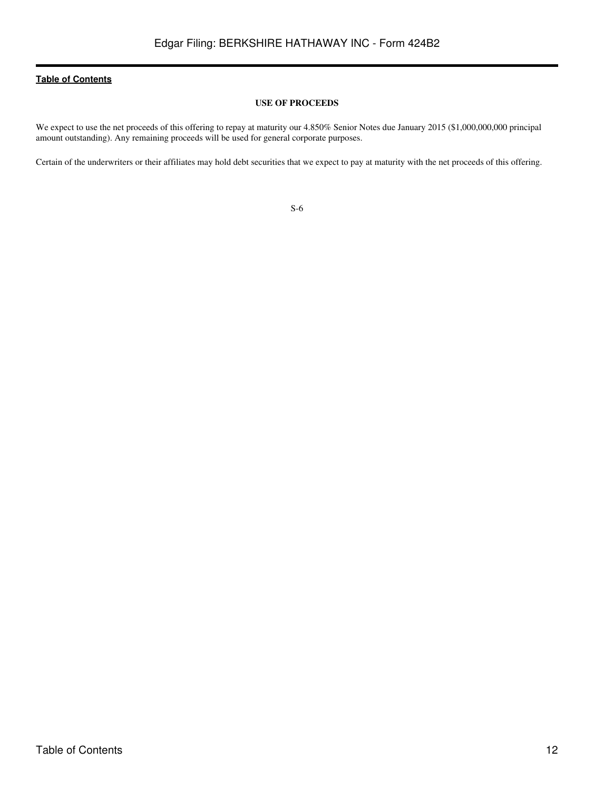## **USE OF PROCEEDS**

<span id="page-11-0"></span>We expect to use the net proceeds of this offering to repay at maturity our 4.850% Senior Notes due January 2015 (\$1,000,000,000 principal amount outstanding). Any remaining proceeds will be used for general corporate purposes.

Certain of the underwriters or their affiliates may hold debt securities that we expect to pay at maturity with the net proceeds of this offering.

| ×<br>I<br>۰.<br>v | ٦<br>×<br>۰, |
|-------------------|--------------|
|                   |              |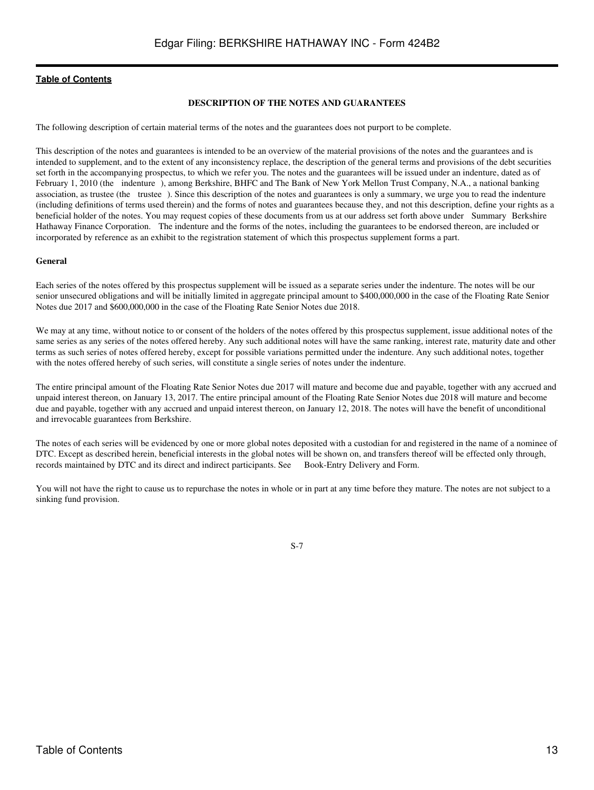### **DESCRIPTION OF THE NOTES AND GUARANTEES**

<span id="page-12-0"></span>The following description of certain material terms of the notes and the guarantees does not purport to be complete.

This description of the notes and guarantees is intended to be an overview of the material provisions of the notes and the guarantees and is intended to supplement, and to the extent of any inconsistency replace, the description of the general terms and provisions of the debt securities set forth in the accompanying prospectus, to which we refer you. The notes and the guarantees will be issued under an indenture, dated as of February 1, 2010 (the indenture), among Berkshire, BHFC and The Bank of New York Mellon Trust Company, N.A., a national banking association, as trustee (the trustee). Since this description of the notes and guarantees is only a summary, we urge you to read the indenture (including definitions of terms used therein) and the forms of notes and guarantees because they, and not this description, define your rights as a beneficial holder of the notes. You may request copies of these documents from us at our address set forth above under Summary Berkshire Hathaway Finance Corporation. The indenture and the forms of the notes, including the guarantees to be endorsed thereon, are included or incorporated by reference as an exhibit to the registration statement of which this prospectus supplement forms a part.

### **General**

Each series of the notes offered by this prospectus supplement will be issued as a separate series under the indenture. The notes will be our senior unsecured obligations and will be initially limited in aggregate principal amount to \$400,000,000 in the case of the Floating Rate Senior Notes due 2017 and \$600,000,000 in the case of the Floating Rate Senior Notes due 2018.

We may at any time, without notice to or consent of the holders of the notes offered by this prospectus supplement, issue additional notes of the same series as any series of the notes offered hereby. Any such additional notes will have the same ranking, interest rate, maturity date and other terms as such series of notes offered hereby, except for possible variations permitted under the indenture. Any such additional notes, together with the notes offered hereby of such series, will constitute a single series of notes under the indenture.

The entire principal amount of the Floating Rate Senior Notes due 2017 will mature and become due and payable, together with any accrued and unpaid interest thereon, on January 13, 2017. The entire principal amount of the Floating Rate Senior Notes due 2018 will mature and become due and payable, together with any accrued and unpaid interest thereon, on January 12, 2018. The notes will have the benefit of unconditional and irrevocable guarantees from Berkshire.

The notes of each series will be evidenced by one or more global notes deposited with a custodian for and registered in the name of a nominee of DTC. Except as described herein, beneficial interests in the global notes will be shown on, and transfers thereof will be effected only through, records maintained by DTC and its direct and indirect participants. See Book-Entry Delivery and Form.

You will not have the right to cause us to repurchase the notes in whole or in part at any time before they mature. The notes are not subject to a sinking fund provision.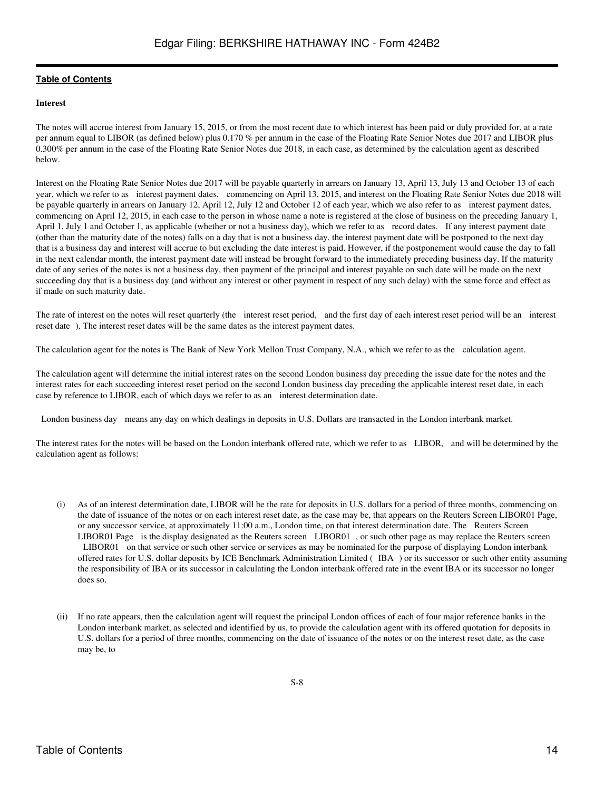## **Interest**

The notes will accrue interest from January 15, 2015, or from the most recent date to which interest has been paid or duly provided for, at a rate per annum equal to LIBOR (as defined below) plus 0.170 % per annum in the case of the Floating Rate Senior Notes due 2017 and LIBOR plus 0.300% per annum in the case of the Floating Rate Senior Notes due 2018, in each case, as determined by the calculation agent as described below.

Interest on the Floating Rate Senior Notes due 2017 will be payable quarterly in arrears on January 13, April 13, July 13 and October 13 of each year, which we refer to as interest payment dates, commencing on April 13, 2015, and interest on the Floating Rate Senior Notes due 2018 will be payable quarterly in arrears on January 12, April 12, July 12 and October 12 of each year, which we also refer to as interest payment dates, commencing on April 12, 2015, in each case to the person in whose name a note is registered at the close of business on the preceding January 1, April 1, July 1 and October 1, as applicable (whether or not a business day), which we refer to as record dates. If any interest payment date (other than the maturity date of the notes) falls on a day that is not a business day, the interest payment date will be postponed to the next day that is a business day and interest will accrue to but excluding the date interest is paid. However, if the postponement would cause the day to fall in the next calendar month, the interest payment date will instead be brought forward to the immediately preceding business day. If the maturity date of any series of the notes is not a business day, then payment of the principal and interest payable on such date will be made on the next succeeding day that is a business day (and without any interest or other payment in respect of any such delay) with the same force and effect as if made on such maturity date.

The rate of interest on the notes will reset quarterly (the interest reset period, and the first day of each interest reset period will be an interest reset date). The interest reset dates will be the same dates as the interest payment dates.

The calculation agent for the notes is The Bank of New York Mellon Trust Company, N.A., which we refer to as the calculation agent.

The calculation agent will determine the initial interest rates on the second London business day preceding the issue date for the notes and the interest rates for each succeeding interest reset period on the second London business day preceding the applicable interest reset date, in each case by reference to LIBOR, each of which days we refer to as an interest determination date.

London business day means any day on which dealings in deposits in U.S. Dollars are transacted in the London interbank market.

The interest rates for the notes will be based on the London interbank offered rate, which we refer to as LIBOR, and will be determined by the calculation agent as follows:

- (i) As of an interest determination date, LIBOR will be the rate for deposits in U.S. dollars for a period of three months, commencing on the date of issuance of the notes or on each interest reset date, as the case may be, that appears on the Reuters Screen LIBOR01 Page, or any successor service, at approximately 11:00 a.m., London time, on that interest determination date. The Reuters Screen LIBOR01 Page is the display designated as the Reuters screen LIBOR01, or such other page as may replace the Reuters screen LIBOR01 on that service or such other service or services as may be nominated for the purpose of displaying London interbank offered rates for U.S. dollar deposits by ICE Benchmark Administration Limited (IBA) or its successor or such other entity assuming the responsibility of IBA or its successor in calculating the London interbank offered rate in the event IBA or its successor no longer does so.
- (ii) If no rate appears, then the calculation agent will request the principal London offices of each of four major reference banks in the London interbank market, as selected and identified by us, to provide the calculation agent with its offered quotation for deposits in U.S. dollars for a period of three months, commencing on the date of issuance of the notes or on the interest reset date, as the case may be, to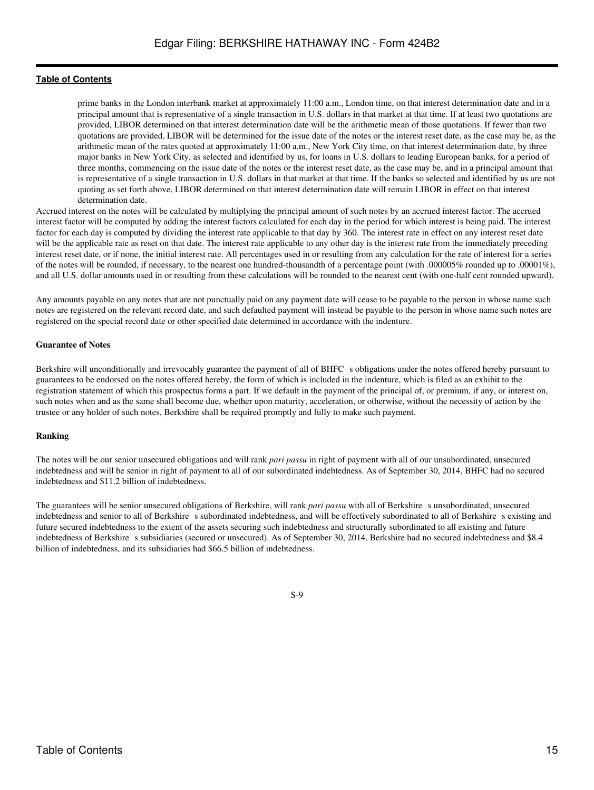prime banks in the London interbank market at approximately 11:00 a.m., London time, on that interest determination date and in a principal amount that is representative of a single transaction in U.S. dollars in that market at that time. If at least two quotations are provided, LIBOR determined on that interest determination date will be the arithmetic mean of those quotations. If fewer than two quotations are provided, LIBOR will be determined for the issue date of the notes or the interest reset date, as the case may be, as the arithmetic mean of the rates quoted at approximately 11:00 a.m., New York City time, on that interest determination date, by three major banks in New York City, as selected and identified by us, for loans in U.S. dollars to leading European banks, for a period of three months, commencing on the issue date of the notes or the interest reset date, as the case may be, and in a principal amount that is representative of a single transaction in U.S. dollars in that market at that time. If the banks so selected and identified by us are not quoting as set forth above, LIBOR determined on that interest determination date will remain LIBOR in effect on that interest determination date.

Accrued interest on the notes will be calculated by multiplying the principal amount of such notes by an accrued interest factor. The accrued interest factor will be computed by adding the interest factors calculated for each day in the period for which interest is being paid. The interest factor for each day is computed by dividing the interest rate applicable to that day by 360. The interest rate in effect on any interest reset date will be the applicable rate as reset on that date. The interest rate applicable to any other day is the interest rate from the immediately preceding interest reset date, or if none, the initial interest rate. All percentages used in or resulting from any calculation for the rate of interest for a series of the notes will be rounded, if necessary, to the nearest one hundred-thousandth of a percentage point (with .000005% rounded up to .00001%), and all U.S. dollar amounts used in or resulting from these calculations will be rounded to the nearest cent (with one-half cent rounded upward).

Any amounts payable on any notes that are not punctually paid on any payment date will cease to be payable to the person in whose name such notes are registered on the relevant record date, and such defaulted payment will instead be payable to the person in whose name such notes are registered on the special record date or other specified date determined in accordance with the indenture.

#### **Guarantee of Notes**

Berkshire will unconditionally and irrevocably guarantee the payment of all of BHFC s obligations under the notes offered hereby pursuant to guarantees to be endorsed on the notes offered hereby, the form of which is included in the indenture, which is filed as an exhibit to the registration statement of which this prospectus forms a part. If we default in the payment of the principal of, or premium, if any, or interest on, such notes when and as the same shall become due, whether upon maturity, acceleration, or otherwise, without the necessity of action by the trustee or any holder of such notes, Berkshire shall be required promptly and fully to make such payment.

#### **Ranking**

The notes will be our senior unsecured obligations and will rank *pari passu* in right of payment with all of our unsubordinated, unsecured indebtedness and will be senior in right of payment to all of our subordinated indebtedness. As of September 30, 2014, BHFC had no secured indebtedness and \$11.2 billion of indebtedness.

The guarantees will be senior unsecured obligations of Berkshire, will rank *pari passu* with all of Berkshires unsubordinated, unsecured indebtedness and senior to all of Berkshire subordinated indebtedness, and will be effectively subordinated to all of Berkshire s existing and future secured indebtedness to the extent of the assets securing such indebtedness and structurally subordinated to all existing and future indebtedness of Berkshire s subsidiaries (secured or unsecured). As of September 30, 2014, Berkshire had no secured indebtedness and \$8.4 billion of indebtedness, and its subsidiaries had \$66.5 billion of indebtedness.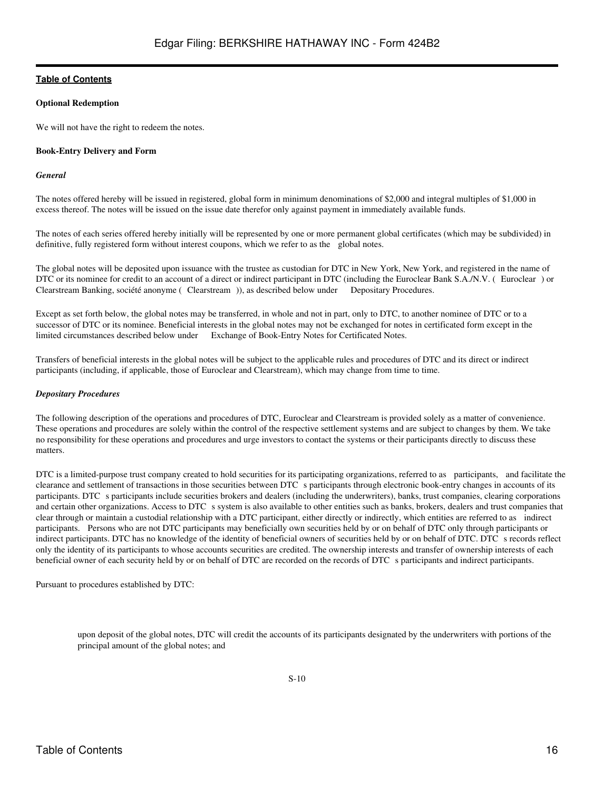## **Optional Redemption**

We will not have the right to redeem the notes.

## **Book-Entry Delivery and Form**

## *General*

The notes offered hereby will be issued in registered, global form in minimum denominations of \$2,000 and integral multiples of \$1,000 in excess thereof. The notes will be issued on the issue date therefor only against payment in immediately available funds.

The notes of each series offered hereby initially will be represented by one or more permanent global certificates (which may be subdivided) in definitive, fully registered form without interest coupons, which we refer to as the global notes.

The global notes will be deposited upon issuance with the trustee as custodian for DTC in New York, New York, and registered in the name of DTC or its nominee for credit to an account of a direct or indirect participant in DTC (including the Euroclear Bank S.A./N.V. (Euroclear) or Clearstream Banking, société anonyme (Clearstream)), as described below under Depositary Procedures.

Except as set forth below, the global notes may be transferred, in whole and not in part, only to DTC, to another nominee of DTC or to a successor of DTC or its nominee. Beneficial interests in the global notes may not be exchanged for notes in certificated form except in the limited circumstances described below under Exchange of Book-Entry Notes for Certificated Notes.

Transfers of beneficial interests in the global notes will be subject to the applicable rules and procedures of DTC and its direct or indirect participants (including, if applicable, those of Euroclear and Clearstream), which may change from time to time.

## *Depositary Procedures*

The following description of the operations and procedures of DTC, Euroclear and Clearstream is provided solely as a matter of convenience. These operations and procedures are solely within the control of the respective settlement systems and are subject to changes by them. We take no responsibility for these operations and procedures and urge investors to contact the systems or their participants directly to discuss these matters.

DTC is a limited-purpose trust company created to hold securities for its participating organizations, referred to as participants, and facilitate the clearance and settlement of transactions in those securities between DTC s participants through electronic book-entry changes in accounts of its participants. DTC s participants include securities brokers and dealers (including the underwriters), banks, trust companies, clearing corporations and certain other organizations. Access to DTC s system is also available to other entities such as banks, brokers, dealers and trust companies that clear through or maintain a custodial relationship with a DTC participant, either directly or indirectly, which entities are referred to as indirect participants. Persons who are not DTC participants may beneficially own securities held by or on behalf of DTC only through participants or indirect participants. DTC has no knowledge of the identity of beneficial owners of securities held by or on behalf of DTC. DTC s records reflect only the identity of its participants to whose accounts securities are credited. The ownership interests and transfer of ownership interests of each beneficial owner of each security held by or on behalf of DTC are recorded on the records of DTC s participants and indirect participants.

Pursuant to procedures established by DTC:

upon deposit of the global notes, DTC will credit the accounts of its participants designated by the underwriters with portions of the principal amount of the global notes; and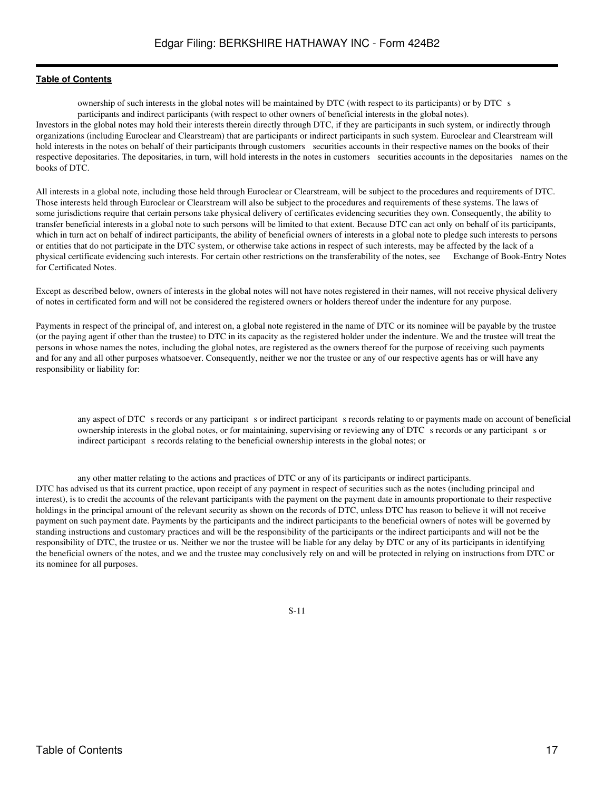ownership of such interests in the global notes will be maintained by DTC (with respect to its participants) or by DTC s participants and indirect participants (with respect to other owners of beneficial interests in the global notes).

Investors in the global notes may hold their interests therein directly through DTC, if they are participants in such system, or indirectly through organizations (including Euroclear and Clearstream) that are participants or indirect participants in such system. Euroclear and Clearstream will hold interests in the notes on behalf of their participants through customers securities accounts in their respective names on the books of their respective depositaries. The depositaries, in turn, will hold interests in the notes in customers securities accounts in the depositaries names on the books of DTC.

All interests in a global note, including those held through Euroclear or Clearstream, will be subject to the procedures and requirements of DTC. Those interests held through Euroclear or Clearstream will also be subject to the procedures and requirements of these systems. The laws of some jurisdictions require that certain persons take physical delivery of certificates evidencing securities they own. Consequently, the ability to transfer beneficial interests in a global note to such persons will be limited to that extent. Because DTC can act only on behalf of its participants, which in turn act on behalf of indirect participants, the ability of beneficial owners of interests in a global note to pledge such interests to persons or entities that do not participate in the DTC system, or otherwise take actions in respect of such interests, may be affected by the lack of a physical certificate evidencing such interests. For certain other restrictions on the transferability of the notes, see Exchange of Book-Entry Notes for Certificated Notes.

Except as described below, owners of interests in the global notes will not have notes registered in their names, will not receive physical delivery of notes in certificated form and will not be considered the registered owners or holders thereof under the indenture for any purpose.

Payments in respect of the principal of, and interest on, a global note registered in the name of DTC or its nominee will be payable by the trustee (or the paying agent if other than the trustee) to DTC in its capacity as the registered holder under the indenture. We and the trustee will treat the persons in whose names the notes, including the global notes, are registered as the owners thereof for the purpose of receiving such payments and for any and all other purposes whatsoever. Consequently, neither we nor the trustee or any of our respective agents has or will have any responsibility or liability for:

any aspect of DTC s records or any participant s or indirect participant s records relating to or payments made on account of beneficial ownership interests in the global notes, or for maintaining, supervising or reviewing any of DTC s records or any participant s or indirect participant s records relating to the beneficial ownership interests in the global notes; or

any other matter relating to the actions and practices of DTC or any of its participants or indirect participants. DTC has advised us that its current practice, upon receipt of any payment in respect of securities such as the notes (including principal and interest), is to credit the accounts of the relevant participants with the payment on the payment date in amounts proportionate to their respective holdings in the principal amount of the relevant security as shown on the records of DTC, unless DTC has reason to believe it will not receive payment on such payment date. Payments by the participants and the indirect participants to the beneficial owners of notes will be governed by standing instructions and customary practices and will be the responsibility of the participants or the indirect participants and will not be the responsibility of DTC, the trustee or us. Neither we nor the trustee will be liable for any delay by DTC or any of its participants in identifying the beneficial owners of the notes, and we and the trustee may conclusively rely on and will be protected in relying on instructions from DTC or its nominee for all purposes.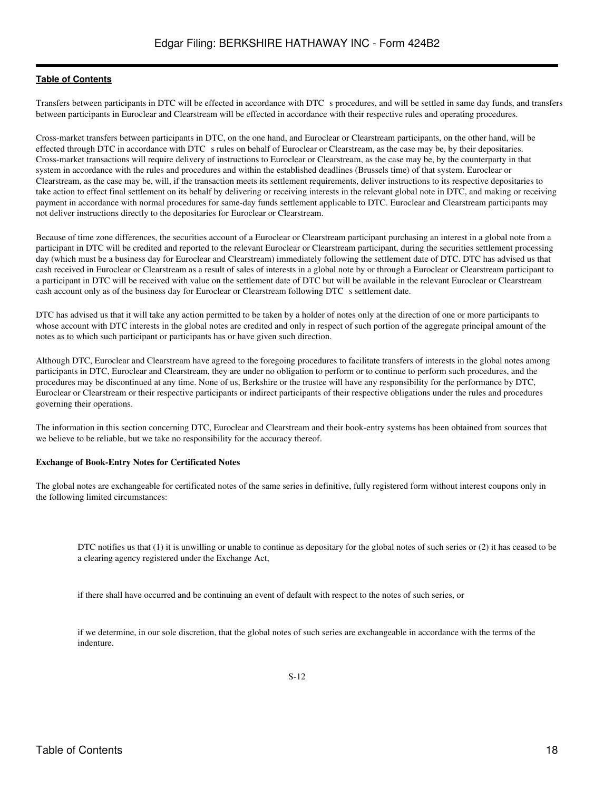Transfers between participants in DTC will be effected in accordance with DTC s procedures, and will be settled in same day funds, and transfers between participants in Euroclear and Clearstream will be effected in accordance with their respective rules and operating procedures.

Cross-market transfers between participants in DTC, on the one hand, and Euroclear or Clearstream participants, on the other hand, will be effected through DTC in accordance with DTC s rules on behalf of Euroclear or Clearstream, as the case may be, by their depositaries. Cross-market transactions will require delivery of instructions to Euroclear or Clearstream, as the case may be, by the counterparty in that system in accordance with the rules and procedures and within the established deadlines (Brussels time) of that system. Euroclear or Clearstream, as the case may be, will, if the transaction meets its settlement requirements, deliver instructions to its respective depositaries to take action to effect final settlement on its behalf by delivering or receiving interests in the relevant global note in DTC, and making or receiving payment in accordance with normal procedures for same-day funds settlement applicable to DTC. Euroclear and Clearstream participants may not deliver instructions directly to the depositaries for Euroclear or Clearstream.

Because of time zone differences, the securities account of a Euroclear or Clearstream participant purchasing an interest in a global note from a participant in DTC will be credited and reported to the relevant Euroclear or Clearstream participant, during the securities settlement processing day (which must be a business day for Euroclear and Clearstream) immediately following the settlement date of DTC. DTC has advised us that cash received in Euroclear or Clearstream as a result of sales of interests in a global note by or through a Euroclear or Clearstream participant to a participant in DTC will be received with value on the settlement date of DTC but will be available in the relevant Euroclear or Clearstream cash account only as of the business day for Euroclear or Clearstream following DTC s settlement date.

DTC has advised us that it will take any action permitted to be taken by a holder of notes only at the direction of one or more participants to whose account with DTC interests in the global notes are credited and only in respect of such portion of the aggregate principal amount of the notes as to which such participant or participants has or have given such direction.

Although DTC, Euroclear and Clearstream have agreed to the foregoing procedures to facilitate transfers of interests in the global notes among participants in DTC, Euroclear and Clearstream, they are under no obligation to perform or to continue to perform such procedures, and the procedures may be discontinued at any time. None of us, Berkshire or the trustee will have any responsibility for the performance by DTC, Euroclear or Clearstream or their respective participants or indirect participants of their respective obligations under the rules and procedures governing their operations.

The information in this section concerning DTC, Euroclear and Clearstream and their book-entry systems has been obtained from sources that we believe to be reliable, but we take no responsibility for the accuracy thereof.

## **Exchange of Book-Entry Notes for Certificated Notes**

The global notes are exchangeable for certificated notes of the same series in definitive, fully registered form without interest coupons only in the following limited circumstances:

DTC notifies us that (1) it is unwilling or unable to continue as depositary for the global notes of such series or (2) it has ceased to be a clearing agency registered under the Exchange Act,

if there shall have occurred and be continuing an event of default with respect to the notes of such series, or

if we determine, in our sole discretion, that the global notes of such series are exchangeable in accordance with the terms of the indenture.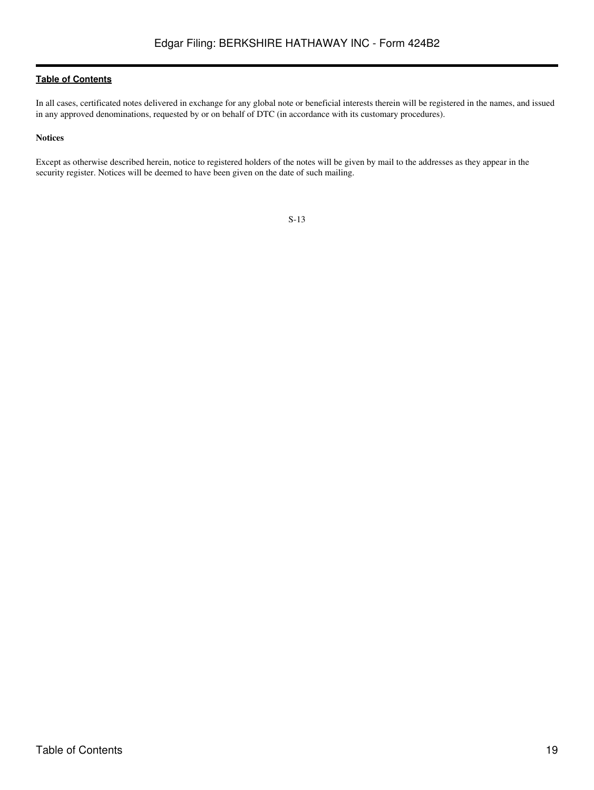In all cases, certificated notes delivered in exchange for any global note or beneficial interests therein will be registered in the names, and issued in any approved denominations, requested by or on behalf of DTC (in accordance with its customary procedures).

## **Notices**

Except as otherwise described herein, notice to registered holders of the notes will be given by mail to the addresses as they appear in the security register. Notices will be deemed to have been given on the date of such mailing.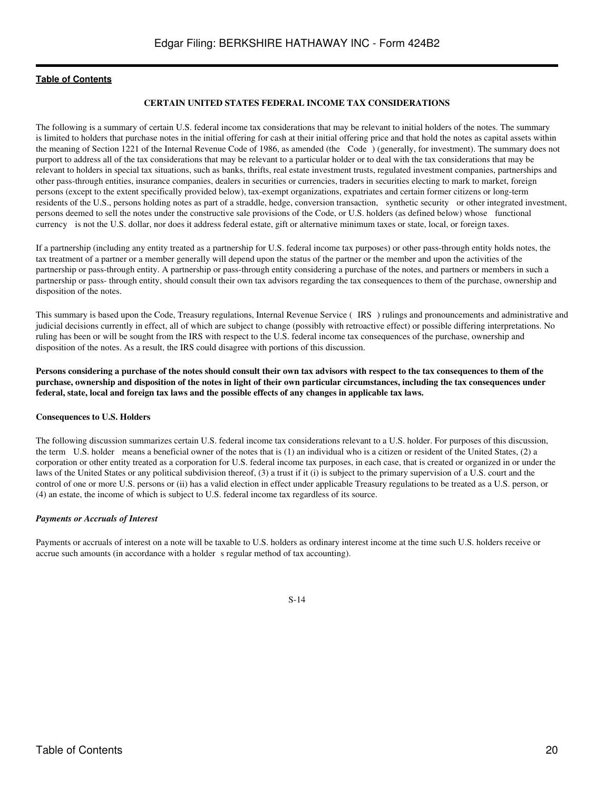### **CERTAIN UNITED STATES FEDERAL INCOME TAX CONSIDERATIONS**

<span id="page-19-0"></span>The following is a summary of certain U.S. federal income tax considerations that may be relevant to initial holders of the notes. The summary is limited to holders that purchase notes in the initial offering for cash at their initial offering price and that hold the notes as capital assets within the meaning of Section 1221 of the Internal Revenue Code of 1986, as amended (the Code) (generally, for investment). The summary does not purport to address all of the tax considerations that may be relevant to a particular holder or to deal with the tax considerations that may be relevant to holders in special tax situations, such as banks, thrifts, real estate investment trusts, regulated investment companies, partnerships and other pass-through entities, insurance companies, dealers in securities or currencies, traders in securities electing to mark to market, foreign persons (except to the extent specifically provided below), tax-exempt organizations, expatriates and certain former citizens or long-term residents of the U.S., persons holding notes as part of a straddle, hedge, conversion transaction, synthetic security or other integrated investment, persons deemed to sell the notes under the constructive sale provisions of the Code, or U.S. holders (as defined below) whose functional currency is not the U.S. dollar, nor does it address federal estate, gift or alternative minimum taxes or state, local, or foreign taxes.

If a partnership (including any entity treated as a partnership for U.S. federal income tax purposes) or other pass-through entity holds notes, the tax treatment of a partner or a member generally will depend upon the status of the partner or the member and upon the activities of the partnership or pass-through entity. A partnership or pass-through entity considering a purchase of the notes, and partners or members in such a partnership or pass- through entity, should consult their own tax advisors regarding the tax consequences to them of the purchase, ownership and disposition of the notes.

This summary is based upon the Code, Treasury regulations, Internal Revenue Service (IRS) rulings and pronouncements and administrative and judicial decisions currently in effect, all of which are subject to change (possibly with retroactive effect) or possible differing interpretations. No ruling has been or will be sought from the IRS with respect to the U.S. federal income tax consequences of the purchase, ownership and disposition of the notes. As a result, the IRS could disagree with portions of this discussion.

**Persons considering a purchase of the notes should consult their own tax advisors with respect to the tax consequences to them of the purchase, ownership and disposition of the notes in light of their own particular circumstances, including the tax consequences under federal, state, local and foreign tax laws and the possible effects of any changes in applicable tax laws.**

#### **Consequences to U.S. Holders**

The following discussion summarizes certain U.S. federal income tax considerations relevant to a U.S. holder. For purposes of this discussion, the term U.S. holder means a beneficial owner of the notes that is (1) an individual who is a citizen or resident of the United States, (2) a corporation or other entity treated as a corporation for U.S. federal income tax purposes, in each case, that is created or organized in or under the laws of the United States or any political subdivision thereof, (3) a trust if it (i) is subject to the primary supervision of a U.S. court and the control of one or more U.S. persons or (ii) has a valid election in effect under applicable Treasury regulations to be treated as a U.S. person, or (4) an estate, the income of which is subject to U.S. federal income tax regardless of its source.

#### *Payments or Accruals of Interest*

Payments or accruals of interest on a note will be taxable to U.S. holders as ordinary interest income at the time such U.S. holders receive or accrue such amounts (in accordance with a holder s regular method of tax accounting).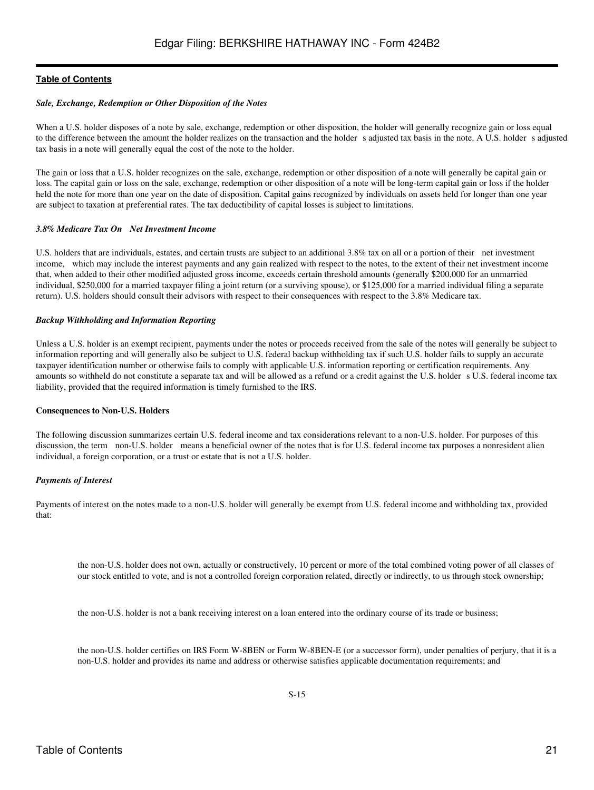### *Sale, Exchange, Redemption or Other Disposition of the Notes*

When a U.S. holder disposes of a note by sale, exchange, redemption or other disposition, the holder will generally recognize gain or loss equal to the difference between the amount the holder realizes on the transaction and the holder s adjusted tax basis in the note. A U.S. holder s adjusted tax basis in a note will generally equal the cost of the note to the holder.

The gain or loss that a U.S. holder recognizes on the sale, exchange, redemption or other disposition of a note will generally be capital gain or loss. The capital gain or loss on the sale, exchange, redemption or other disposition of a note will be long-term capital gain or loss if the holder held the note for more than one year on the date of disposition. Capital gains recognized by individuals on assets held for longer than one year are subject to taxation at preferential rates. The tax deductibility of capital losses is subject to limitations.

#### *3.8% Medicare Tax On Net Investment Income*

U.S. holders that are individuals, estates, and certain trusts are subject to an additional 3.8% tax on all or a portion of their net investment income, which may include the interest payments and any gain realized with respect to the notes, to the extent of their net investment income that, when added to their other modified adjusted gross income, exceeds certain threshold amounts (generally \$200,000 for an unmarried individual, \$250,000 for a married taxpayer filing a joint return (or a surviving spouse), or \$125,000 for a married individual filing a separate return). U.S. holders should consult their advisors with respect to their consequences with respect to the 3.8% Medicare tax.

#### *Backup Withholding and Information Reporting*

Unless a U.S. holder is an exempt recipient, payments under the notes or proceeds received from the sale of the notes will generally be subject to information reporting and will generally also be subject to U.S. federal backup withholding tax if such U.S. holder fails to supply an accurate taxpayer identification number or otherwise fails to comply with applicable U.S. information reporting or certification requirements. Any amounts so withheld do not constitute a separate tax and will be allowed as a refund or a credit against the U.S. holders U.S. federal income tax liability, provided that the required information is timely furnished to the IRS.

#### **Consequences to Non-U.S. Holders**

The following discussion summarizes certain U.S. federal income and tax considerations relevant to a non-U.S. holder. For purposes of this discussion, the term non-U.S. holder means a beneficial owner of the notes that is for U.S. federal income tax purposes a nonresident alien individual, a foreign corporation, or a trust or estate that is not a U.S. holder.

## *Payments of Interest*

Payments of interest on the notes made to a non-U.S. holder will generally be exempt from U.S. federal income and withholding tax, provided that:

the non-U.S. holder does not own, actually or constructively, 10 percent or more of the total combined voting power of all classes of our stock entitled to vote, and is not a controlled foreign corporation related, directly or indirectly, to us through stock ownership;

the non-U.S. holder is not a bank receiving interest on a loan entered into the ordinary course of its trade or business;

the non-U.S. holder certifies on IRS Form W-8BEN or Form W-8BEN-E (or a successor form), under penalties of perjury, that it is a non-U.S. holder and provides its name and address or otherwise satisfies applicable documentation requirements; and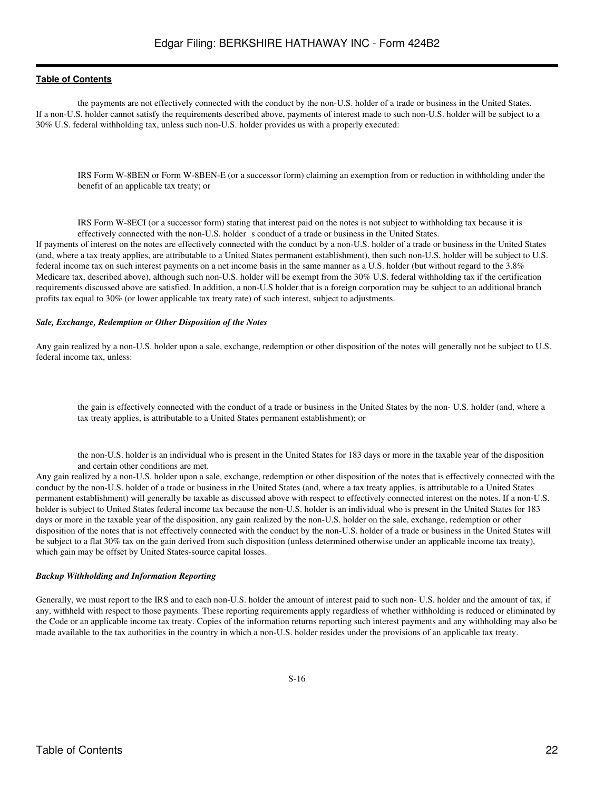the payments are not effectively connected with the conduct by the non-U.S. holder of a trade or business in the United States. If a non-U.S. holder cannot satisfy the requirements described above, payments of interest made to such non-U.S. holder will be subject to a 30% U.S. federal withholding tax, unless such non-U.S. holder provides us with a properly executed:

IRS Form W-8BEN or Form W-8BEN-E (or a successor form) claiming an exemption from or reduction in withholding under the benefit of an applicable tax treaty; or

IRS Form W-8ECI (or a successor form) stating that interest paid on the notes is not subject to withholding tax because it is effectively connected with the non-U.S. holder s conduct of a trade or business in the United States.

If payments of interest on the notes are effectively connected with the conduct by a non-U.S. holder of a trade or business in the United States (and, where a tax treaty applies, are attributable to a United States permanent establishment), then such non-U.S. holder will be subject to U.S. federal income tax on such interest payments on a net income basis in the same manner as a U.S. holder (but without regard to the 3.8% Medicare tax, described above), although such non-U.S. holder will be exempt from the 30% U.S. federal withholding tax if the certification requirements discussed above are satisfied. In addition, a non-U.S holder that is a foreign corporation may be subject to an additional branch profits tax equal to 30% (or lower applicable tax treaty rate) of such interest, subject to adjustments.

#### *Sale, Exchange, Redemption or Other Disposition of the Notes*

Any gain realized by a non-U.S. holder upon a sale, exchange, redemption or other disposition of the notes will generally not be subject to U.S. federal income tax, unless:

the gain is effectively connected with the conduct of a trade or business in the United States by the non- U.S. holder (and, where a tax treaty applies, is attributable to a United States permanent establishment); or

the non-U.S. holder is an individual who is present in the United States for 183 days or more in the taxable year of the disposition and certain other conditions are met.

Any gain realized by a non-U.S. holder upon a sale, exchange, redemption or other disposition of the notes that is effectively connected with the conduct by the non-U.S. holder of a trade or business in the United States (and, where a tax treaty applies, is attributable to a United States permanent establishment) will generally be taxable as discussed above with respect to effectively connected interest on the notes. If a non-U.S. holder is subject to United States federal income tax because the non-U.S. holder is an individual who is present in the United States for 183 days or more in the taxable year of the disposition, any gain realized by the non-U.S. holder on the sale, exchange, redemption or other disposition of the notes that is not effectively connected with the conduct by the non-U.S. holder of a trade or business in the United States will be subject to a flat 30% tax on the gain derived from such disposition (unless determined otherwise under an applicable income tax treaty), which gain may be offset by United States-source capital losses.

#### *Backup Withholding and Information Reporting*

Generally, we must report to the IRS and to each non-U.S. holder the amount of interest paid to such non- U.S. holder and the amount of tax, if any, withheld with respect to those payments. These reporting requirements apply regardless of whether withholding is reduced or eliminated by the Code or an applicable income tax treaty. Copies of the information returns reporting such interest payments and any withholding may also be made available to the tax authorities in the country in which a non-U.S. holder resides under the provisions of an applicable tax treaty.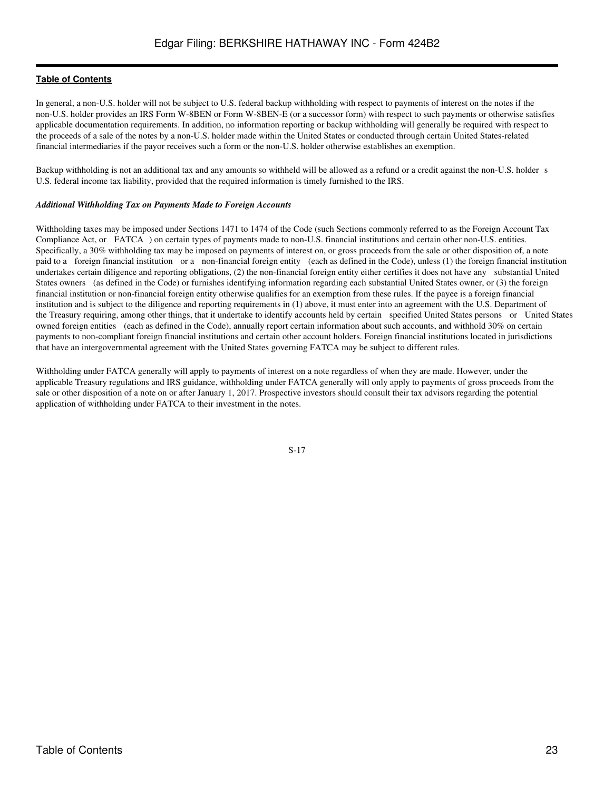In general, a non-U.S. holder will not be subject to U.S. federal backup withholding with respect to payments of interest on the notes if the non-U.S. holder provides an IRS Form W-8BEN or Form W-8BEN-E (or a successor form) with respect to such payments or otherwise satisfies applicable documentation requirements. In addition, no information reporting or backup withholding will generally be required with respect to the proceeds of a sale of the notes by a non-U.S. holder made within the United States or conducted through certain United States-related financial intermediaries if the payor receives such a form or the non-U.S. holder otherwise establishes an exemption.

Backup withholding is not an additional tax and any amounts so withheld will be allowed as a refund or a credit against the non-U.S. holder s U.S. federal income tax liability, provided that the required information is timely furnished to the IRS.

## *Additional Withholding Tax on Payments Made to Foreign Accounts*

Withholding taxes may be imposed under Sections 1471 to 1474 of the Code (such Sections commonly referred to as the Foreign Account Tax Compliance Act, or FATCA) on certain types of payments made to non-U.S. financial institutions and certain other non-U.S. entities. Specifically, a 30% withholding tax may be imposed on payments of interest on, or gross proceeds from the sale or other disposition of, a note paid to a foreign financial institution or a non-financial foreign entity (each as defined in the Code), unless (1) the foreign financial institution undertakes certain diligence and reporting obligations, (2) the non-financial foreign entity either certifies it does not have any substantial United States owners (as defined in the Code) or furnishes identifying information regarding each substantial United States owner, or (3) the foreign financial institution or non-financial foreign entity otherwise qualifies for an exemption from these rules. If the payee is a foreign financial institution and is subject to the diligence and reporting requirements in (1) above, it must enter into an agreement with the U.S. Department of the Treasury requiring, among other things, that it undertake to identify accounts held by certain specified United States persons or United States owned foreign entities (each as defined in the Code), annually report certain information about such accounts, and withhold 30% on certain payments to non-compliant foreign financial institutions and certain other account holders. Foreign financial institutions located in jurisdictions that have an intergovernmental agreement with the United States governing FATCA may be subject to different rules.

Withholding under FATCA generally will apply to payments of interest on a note regardless of when they are made. However, under the applicable Treasury regulations and IRS guidance, withholding under FATCA generally will only apply to payments of gross proceeds from the sale or other disposition of a note on or after January 1, 2017. Prospective investors should consult their tax advisors regarding the potential application of withholding under FATCA to their investment in the notes.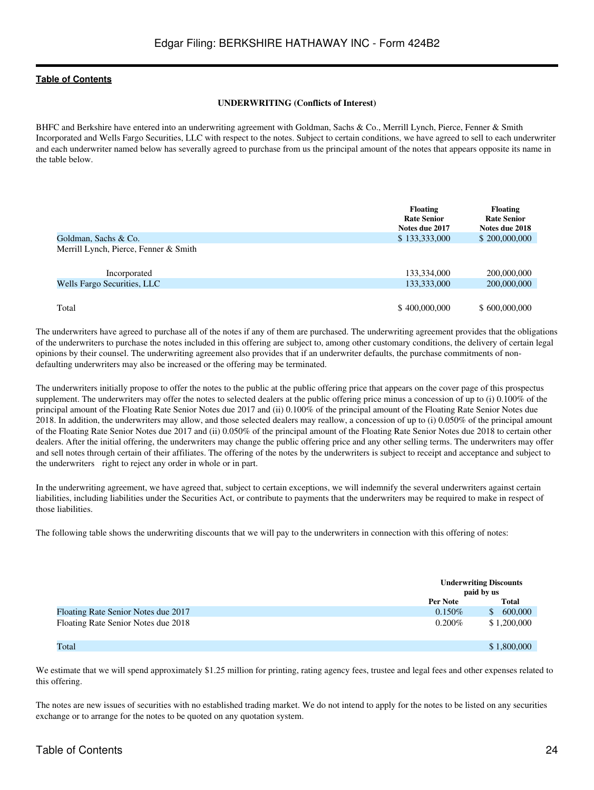### **UNDERWRITING (Conflicts of Interest)**

<span id="page-23-0"></span>BHFC and Berkshire have entered into an underwriting agreement with Goldman, Sachs & Co., Merrill Lynch, Pierce, Fenner & Smith Incorporated and Wells Fargo Securities, LLC with respect to the notes. Subject to certain conditions, we have agreed to sell to each underwriter and each underwriter named below has severally agreed to purchase from us the principal amount of the notes that appears opposite its name in the table below.

|                                       | <b>Floating</b><br><b>Rate Senior</b><br>Notes due 2017 | <b>Floating</b><br><b>Rate Senior</b><br>Notes due 2018 |
|---------------------------------------|---------------------------------------------------------|---------------------------------------------------------|
| Goldman, Sachs & Co.                  | \$133,333,000                                           | \$200,000,000                                           |
| Merrill Lynch, Pierce, Fenner & Smith |                                                         |                                                         |
| Incorporated                          | 133,334,000                                             | 200,000,000                                             |
| Wells Fargo Securities, LLC           | 133,333,000                                             | 200,000,000                                             |
| Total                                 | \$400,000,000                                           | \$600,000,000                                           |

The underwriters have agreed to purchase all of the notes if any of them are purchased. The underwriting agreement provides that the obligations of the underwriters to purchase the notes included in this offering are subject to, among other customary conditions, the delivery of certain legal opinions by their counsel. The underwriting agreement also provides that if an underwriter defaults, the purchase commitments of nondefaulting underwriters may also be increased or the offering may be terminated.

The underwriters initially propose to offer the notes to the public at the public offering price that appears on the cover page of this prospectus supplement. The underwriters may offer the notes to selected dealers at the public offering price minus a concession of up to (i) 0.100% of the principal amount of the Floating Rate Senior Notes due 2017 and (ii) 0.100% of the principal amount of the Floating Rate Senior Notes due 2018. In addition, the underwriters may allow, and those selected dealers may reallow, a concession of up to (i) 0.050% of the principal amount of the Floating Rate Senior Notes due 2017 and (ii) 0.050% of the principal amount of the Floating Rate Senior Notes due 2018 to certain other dealers. After the initial offering, the underwriters may change the public offering price and any other selling terms. The underwriters may offer and sell notes through certain of their affiliates. The offering of the notes by the underwriters is subject to receipt and acceptance and subject to the underwriters right to reject any order in whole or in part.

In the underwriting agreement, we have agreed that, subject to certain exceptions, we will indemnify the several underwriters against certain liabilities, including liabilities under the Securities Act, or contribute to payments that the underwriters may be required to make in respect of those liabilities.

The following table shows the underwriting discounts that we will pay to the underwriters in connection with this offering of notes:

|                                     | paid by us | <b>Underwriting Discounts</b> |
|-------------------------------------|------------|-------------------------------|
|                                     | Per Note   | <b>Total</b>                  |
| Floating Rate Senior Notes due 2017 | $0.150\%$  | 600,000<br><sup>\$</sup>      |
| Floating Rate Senior Notes due 2018 | $0.200\%$  | \$1,200,000                   |
| Total                               |            | \$1,800,000                   |

We estimate that we will spend approximately \$1.25 million for printing, rating agency fees, trustee and legal fees and other expenses related to this offering.

The notes are new issues of securities with no established trading market. We do not intend to apply for the notes to be listed on any securities exchange or to arrange for the notes to be quoted on any quotation system.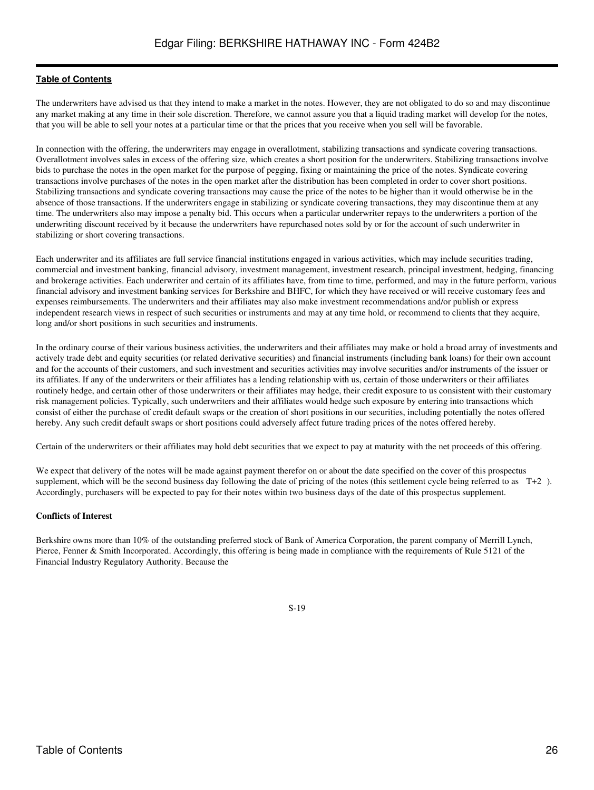The underwriters have advised us that they intend to make a market in the notes. However, they are not obligated to do so and may discontinue any market making at any time in their sole discretion. Therefore, we cannot assure you that a liquid trading market will develop for the notes, that you will be able to sell your notes at a particular time or that the prices that you receive when you sell will be favorable.

In connection with the offering, the underwriters may engage in overallotment, stabilizing transactions and syndicate covering transactions. Overallotment involves sales in excess of the offering size, which creates a short position for the underwriters. Stabilizing transactions involve bids to purchase the notes in the open market for the purpose of pegging, fixing or maintaining the price of the notes. Syndicate covering transactions involve purchases of the notes in the open market after the distribution has been completed in order to cover short positions. Stabilizing transactions and syndicate covering transactions may cause the price of the notes to be higher than it would otherwise be in the absence of those transactions. If the underwriters engage in stabilizing or syndicate covering transactions, they may discontinue them at any time. The underwriters also may impose a penalty bid. This occurs when a particular underwriter repays to the underwriters a portion of the underwriting discount received by it because the underwriters have repurchased notes sold by or for the account of such underwriter in stabilizing or short covering transactions.

Each underwriter and its affiliates are full service financial institutions engaged in various activities, which may include securities trading, commercial and investment banking, financial advisory, investment management, investment research, principal investment, hedging, financing and brokerage activities. Each underwriter and certain of its affiliates have, from time to time, performed, and may in the future perform, various financial advisory and investment banking services for Berkshire and BHFC, for which they have received or will receive customary fees and expenses reimbursements. The underwriters and their affiliates may also make investment recommendations and/or publish or express independent research views in respect of such securities or instruments and may at any time hold, or recommend to clients that they acquire, long and/or short positions in such securities and instruments.

In the ordinary course of their various business activities, the underwriters and their affiliates may make or hold a broad array of investments and actively trade debt and equity securities (or related derivative securities) and financial instruments (including bank loans) for their own account and for the accounts of their customers, and such investment and securities activities may involve securities and/or instruments of the issuer or its affiliates. If any of the underwriters or their affiliates has a lending relationship with us, certain of those underwriters or their affiliates routinely hedge, and certain other of those underwriters or their affiliates may hedge, their credit exposure to us consistent with their customary risk management policies. Typically, such underwriters and their affiliates would hedge such exposure by entering into transactions which consist of either the purchase of credit default swaps or the creation of short positions in our securities, including potentially the notes offered hereby. Any such credit default swaps or short positions could adversely affect future trading prices of the notes offered hereby.

Certain of the underwriters or their affiliates may hold debt securities that we expect to pay at maturity with the net proceeds of this offering.

We expect that delivery of the notes will be made against payment therefor on or about the date specified on the cover of this prospectus supplement, which will be the second business day following the date of pricing of the notes (this settlement cycle being referred to as T+2). Accordingly, purchasers will be expected to pay for their notes within two business days of the date of this prospectus supplement.

## **Conflicts of Interest**

Berkshire owns more than 10% of the outstanding preferred stock of Bank of America Corporation, the parent company of Merrill Lynch, Pierce, Fenner & Smith Incorporated. Accordingly, this offering is being made in compliance with the requirements of Rule 5121 of the Financial Industry Regulatory Authority. Because the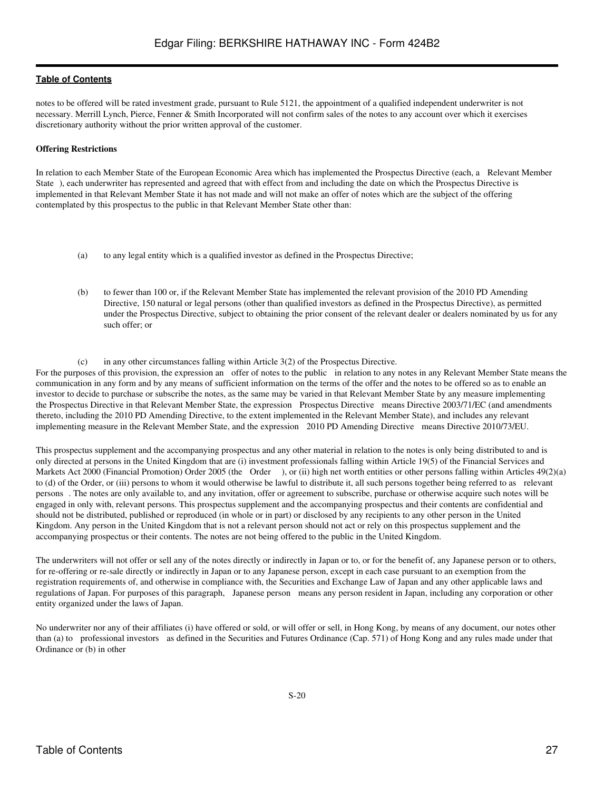notes to be offered will be rated investment grade, pursuant to Rule 5121, the appointment of a qualified independent underwriter is not necessary. Merrill Lynch, Pierce, Fenner & Smith Incorporated will not confirm sales of the notes to any account over which it exercises discretionary authority without the prior written approval of the customer.

## **Offering Restrictions**

In relation to each Member State of the European Economic Area which has implemented the Prospectus Directive (each, a Relevant Member State), each underwriter has represented and agreed that with effect from and including the date on which the Prospectus Directive is implemented in that Relevant Member State it has not made and will not make an offer of notes which are the subject of the offering contemplated by this prospectus to the public in that Relevant Member State other than:

- (a) to any legal entity which is a qualified investor as defined in the Prospectus Directive;
- (b) to fewer than 100 or, if the Relevant Member State has implemented the relevant provision of the 2010 PD Amending Directive, 150 natural or legal persons (other than qualified investors as defined in the Prospectus Directive), as permitted under the Prospectus Directive, subject to obtaining the prior consent of the relevant dealer or dealers nominated by us for any such offer; or

(c) in any other circumstances falling within Article 3(2) of the Prospectus Directive.

For the purposes of this provision, the expression an offer of notes to the public in relation to any notes in any Relevant Member State means the communication in any form and by any means of sufficient information on the terms of the offer and the notes to be offered so as to enable an investor to decide to purchase or subscribe the notes, as the same may be varied in that Relevant Member State by any measure implementing the Prospectus Directive in that Relevant Member State, the expression Prospectus Directive means Directive 2003/71/EC (and amendments thereto, including the 2010 PD Amending Directive, to the extent implemented in the Relevant Member State), and includes any relevant implementing measure in the Relevant Member State, and the expression 2010 PD Amending Directive means Directive 2010/73/EU.

This prospectus supplement and the accompanying prospectus and any other material in relation to the notes is only being distributed to and is only directed at persons in the United Kingdom that are (i) investment professionals falling within Article 19(5) of the Financial Services and Markets Act 2000 (Financial Promotion) Order 2005 (the Order), or (ii) high net worth entities or other persons falling within Articles 49(2)(a) to (d) of the Order, or (iii) persons to whom it would otherwise be lawful to distribute it, all such persons together being referred to as relevant persons. The notes are only available to, and any invitation, offer or agreement to subscribe, purchase or otherwise acquire such notes will be engaged in only with, relevant persons. This prospectus supplement and the accompanying prospectus and their contents are confidential and should not be distributed, published or reproduced (in whole or in part) or disclosed by any recipients to any other person in the United Kingdom. Any person in the United Kingdom that is not a relevant person should not act or rely on this prospectus supplement and the accompanying prospectus or their contents. The notes are not being offered to the public in the United Kingdom.

The underwriters will not offer or sell any of the notes directly or indirectly in Japan or to, or for the benefit of, any Japanese person or to others, for re-offering or re-sale directly or indirectly in Japan or to any Japanese person, except in each case pursuant to an exemption from the registration requirements of, and otherwise in compliance with, the Securities and Exchange Law of Japan and any other applicable laws and regulations of Japan. For purposes of this paragraph, Japanese person means any person resident in Japan, including any corporation or other entity organized under the laws of Japan.

No underwriter nor any of their affiliates (i) have offered or sold, or will offer or sell, in Hong Kong, by means of any document, our notes other than (a) to professional investors as defined in the Securities and Futures Ordinance (Cap. 571) of Hong Kong and any rules made under that Ordinance or (b) in other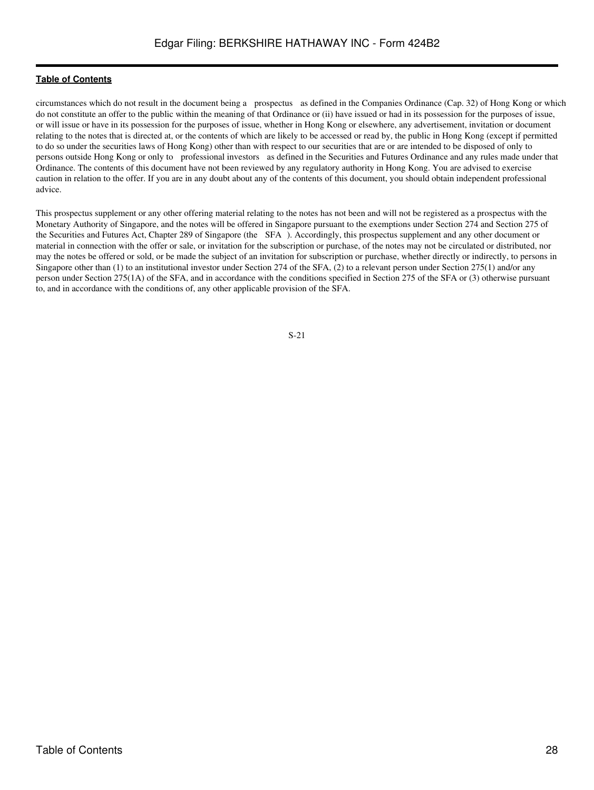circumstances which do not result in the document being a prospectus as defined in the Companies Ordinance (Cap. 32) of Hong Kong or which do not constitute an offer to the public within the meaning of that Ordinance or (ii) have issued or had in its possession for the purposes of issue, or will issue or have in its possession for the purposes of issue, whether in Hong Kong or elsewhere, any advertisement, invitation or document relating to the notes that is directed at, or the contents of which are likely to be accessed or read by, the public in Hong Kong (except if permitted to do so under the securities laws of Hong Kong) other than with respect to our securities that are or are intended to be disposed of only to persons outside Hong Kong or only to professional investors as defined in the Securities and Futures Ordinance and any rules made under that Ordinance. The contents of this document have not been reviewed by any regulatory authority in Hong Kong. You are advised to exercise caution in relation to the offer. If you are in any doubt about any of the contents of this document, you should obtain independent professional advice.

This prospectus supplement or any other offering material relating to the notes has not been and will not be registered as a prospectus with the Monetary Authority of Singapore, and the notes will be offered in Singapore pursuant to the exemptions under Section 274 and Section 275 of the Securities and Futures Act, Chapter 289 of Singapore (the SFA). Accordingly, this prospectus supplement and any other document or material in connection with the offer or sale, or invitation for the subscription or purchase, of the notes may not be circulated or distributed, nor may the notes be offered or sold, or be made the subject of an invitation for subscription or purchase, whether directly or indirectly, to persons in Singapore other than (1) to an institutional investor under Section 274 of the SFA, (2) to a relevant person under Section 275(1) and/or any person under Section 275(1A) of the SFA, and in accordance with the conditions specified in Section 275 of the SFA or (3) otherwise pursuant to, and in accordance with the conditions of, any other applicable provision of the SFA.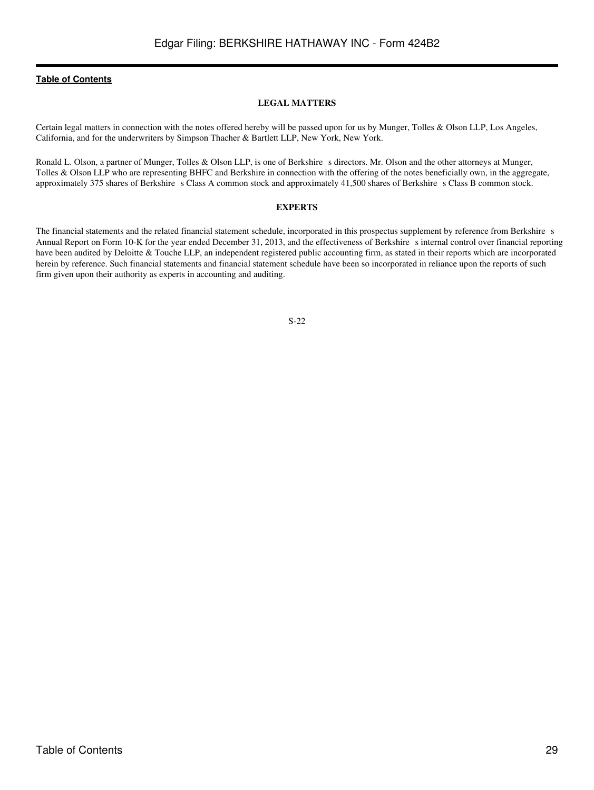### **LEGAL MATTERS**

<span id="page-28-0"></span>Certain legal matters in connection with the notes offered hereby will be passed upon for us by Munger, Tolles & Olson LLP, Los Angeles, California, and for the underwriters by Simpson Thacher & Bartlett LLP, New York, New York.

Ronald L. Olson, a partner of Munger, Tolles & Olson LLP, is one of Berkshire s directors. Mr. Olson and the other attorneys at Munger, Tolles & Olson LLP who are representing BHFC and Berkshire in connection with the offering of the notes beneficially own, in the aggregate, approximately 375 shares of Berkshire s Class A common stock and approximately 41,500 shares of Berkshire s Class B common stock.

#### **EXPERTS**

<span id="page-28-1"></span>The financial statements and the related financial statement schedule, incorporated in this prospectus supplement by reference from Berkshire s Annual Report on Form 10-K for the year ended December 31, 2013, and the effectiveness of Berkshire sinternal control over financial reporting have been audited by Deloitte & Touche LLP, an independent registered public accounting firm, as stated in their reports which are incorporated herein by reference. Such financial statements and financial statement schedule have been so incorporated in reliance upon the reports of such firm given upon their authority as experts in accounting and auditing.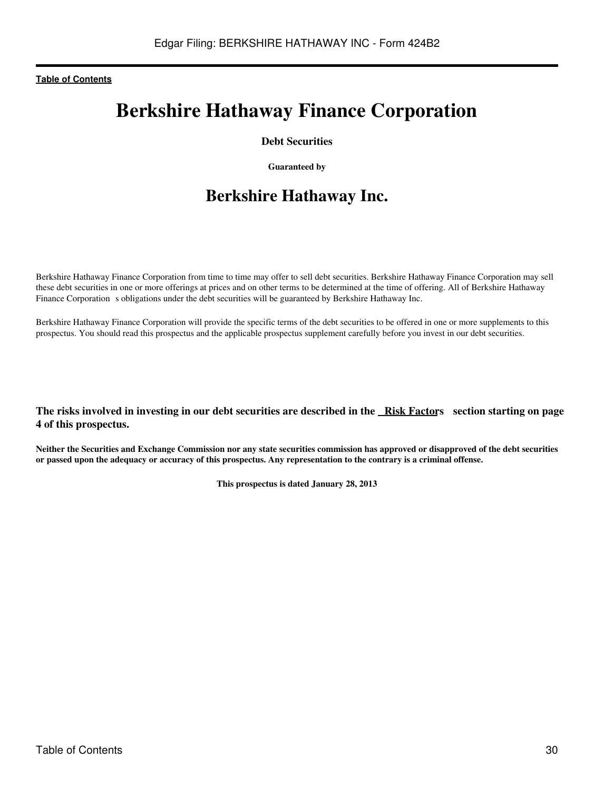# **Berkshire Hathaway Finance Corporation**

## **Debt Securities**

**Guaranteed by**

# **Berkshire Hathaway Inc.**

Berkshire Hathaway Finance Corporation from time to time may offer to sell debt securities. Berkshire Hathaway Finance Corporation may sell these debt securities in one or more offerings at prices and on other terms to be determined at the time of offering. All of Berkshire Hathaway Finance Corporation s obligations under the debt securities will be guaranteed by Berkshire Hathaway Inc.

Berkshire Hathaway Finance Corporation will provide the specific terms of the debt securities to be offered in one or more supplements to this prospectus. You should read this prospectus and the applicable prospectus supplement carefully before you invest in our debt securities.

## **The risks involved in investing in our debt securities are described in the Risk Factors section starting on page 4 of this prospectus.**

**Neither the Securities and Exchange Commission nor any state securities commission has approved or disapproved of the debt securities or passed upon the adequacy or accuracy of this prospectus. Any representation to the contrary is a criminal offense.**

**This prospectus is dated January 28, 2013**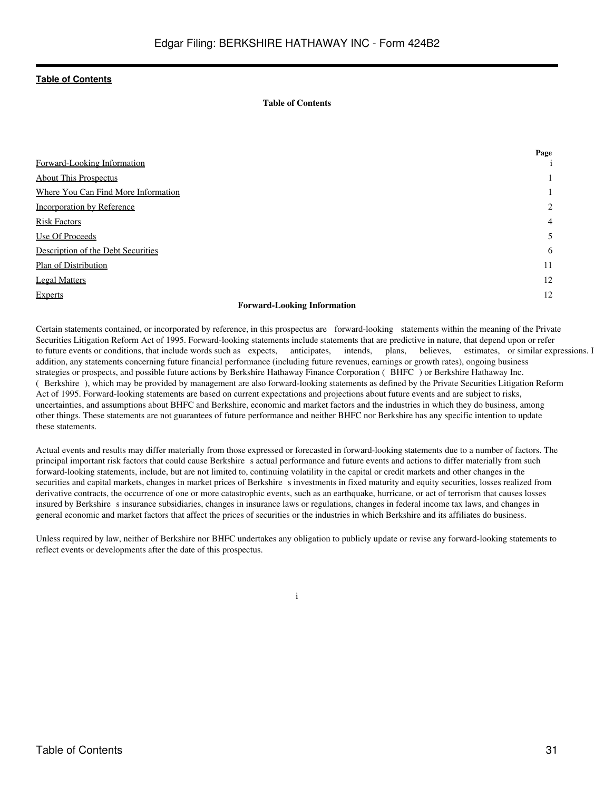## **Table of Contents**

<span id="page-30-0"></span>

|                                                                                                            | Page |
|------------------------------------------------------------------------------------------------------------|------|
| Forward-Looking Information                                                                                | 1    |
| <b>About This Prospectus</b>                                                                               |      |
| Where You Can Find More Information                                                                        |      |
| <b>Incorporation by Reference</b>                                                                          | 2    |
| <b>Risk Factors</b>                                                                                        | 4    |
| Use Of Proceeds                                                                                            | 5    |
| Description of the Debt Securities                                                                         | 6    |
| Plan of Distribution                                                                                       | 11   |
| <b>Legal Matters</b>                                                                                       | 12   |
| <b>Experts</b>                                                                                             | 12   |
| $\mathbf{r}$ $\mathbf{r}$ $\mathbf{r}$ $\mathbf{r}$ $\mathbf{r}$ $\mathbf{r}$ $\mathbf{r}$<br>$\mathbf{r}$ |      |

#### **Forward-Looking Information**

<span id="page-30-1"></span>Certain statements contained, or incorporated by reference, in this prospectus are forward-looking statements within the meaning of the Private Securities Litigation Reform Act of 1995. Forward-looking statements include statements that are predictive in nature, that depend upon or refer to future events or conditions, that include words such as expects, anticipates, intends, plans, believes, estimates, or similar expressions. I addition, any statements concerning future financial performance (including future revenues, earnings or growth rates), ongoing business strategies or prospects, and possible future actions by Berkshire Hathaway Finance Corporation (BHFC) or Berkshire Hathaway Inc. (Berkshire), which may be provided by management are also forward-looking statements as defined by the Private Securities Litigation Reform Act of 1995. Forward-looking statements are based on current expectations and projections about future events and are subject to risks, uncertainties, and assumptions about BHFC and Berkshire, economic and market factors and the industries in which they do business, among other things. These statements are not guarantees of future performance and neither BHFC nor Berkshire has any specific intention to update these statements.

Actual events and results may differ materially from those expressed or forecasted in forward-looking statements due to a number of factors. The principal important risk factors that could cause Berkshire s actual performance and future events and actions to differ materially from such forward-looking statements, include, but are not limited to, continuing volatility in the capital or credit markets and other changes in the securities and capital markets, changes in market prices of Berkshire s investments in fixed maturity and equity securities, losses realized from derivative contracts, the occurrence of one or more catastrophic events, such as an earthquake, hurricane, or act of terrorism that causes losses insured by Berkshire s insurance subsidiaries, changes in insurance laws or regulations, changes in federal income tax laws, and changes in general economic and market factors that affect the prices of securities or the industries in which Berkshire and its affiliates do business.

Unless required by law, neither of Berkshire nor BHFC undertakes any obligation to publicly update or revise any forward-looking statements to reflect events or developments after the date of this prospectus.

i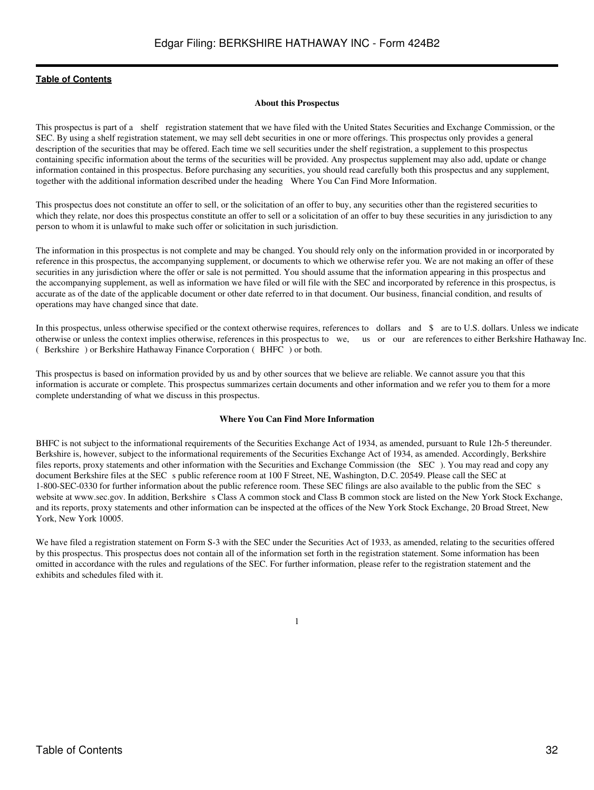#### **About this Prospectus**

<span id="page-31-0"></span>This prospectus is part of a shelf registration statement that we have filed with the United States Securities and Exchange Commission, or the SEC. By using a shelf registration statement, we may sell debt securities in one or more offerings. This prospectus only provides a general description of the securities that may be offered. Each time we sell securities under the shelf registration, a supplement to this prospectus containing specific information about the terms of the securities will be provided. Any prospectus supplement may also add, update or change information contained in this prospectus. Before purchasing any securities, you should read carefully both this prospectus and any supplement, together with the additional information described under the heading Where You Can Find More Information.

This prospectus does not constitute an offer to sell, or the solicitation of an offer to buy, any securities other than the registered securities to which they relate, nor does this prospectus constitute an offer to sell or a solicitation of an offer to buy these securities in any jurisdiction to any person to whom it is unlawful to make such offer or solicitation in such jurisdiction.

The information in this prospectus is not complete and may be changed. You should rely only on the information provided in or incorporated by reference in this prospectus, the accompanying supplement, or documents to which we otherwise refer you. We are not making an offer of these securities in any jurisdiction where the offer or sale is not permitted. You should assume that the information appearing in this prospectus and the accompanying supplement, as well as information we have filed or will file with the SEC and incorporated by reference in this prospectus, is accurate as of the date of the applicable document or other date referred to in that document. Our business, financial condition, and results of operations may have changed since that date.

In this prospectus, unless otherwise specified or the context otherwise requires, references to dollars and \$ are to U.S. dollars. Unless we indicate otherwise or unless the context implies otherwise, references in this prospectus to we, us or our are references to either Berkshire Hathaway Inc. (Berkshire) or Berkshire Hathaway Finance Corporation (BHFC) or both.

This prospectus is based on information provided by us and by other sources that we believe are reliable. We cannot assure you that this information is accurate or complete. This prospectus summarizes certain documents and other information and we refer you to them for a more complete understanding of what we discuss in this prospectus.

#### **Where You Can Find More Information**

<span id="page-31-1"></span>BHFC is not subject to the informational requirements of the Securities Exchange Act of 1934, as amended, pursuant to Rule 12h-5 thereunder. Berkshire is, however, subject to the informational requirements of the Securities Exchange Act of 1934, as amended. Accordingly, Berkshire files reports, proxy statements and other information with the Securities and Exchange Commission (the SEC). You may read and copy any document Berkshire files at the SEC s public reference room at 100 F Street, NE, Washington, D.C. 20549. Please call the SEC at 1-800-SEC-0330 for further information about the public reference room. These SEC filings are also available to the public from the SECs website at www.sec.gov. In addition, Berkshire s Class A common stock and Class B common stock are listed on the New York Stock Exchange, and its reports, proxy statements and other information can be inspected at the offices of the New York Stock Exchange, 20 Broad Street, New York, New York 10005.

We have filed a registration statement on Form S-3 with the SEC under the Securities Act of 1933, as amended, relating to the securities offered by this prospectus. This prospectus does not contain all of the information set forth in the registration statement. Some information has been omitted in accordance with the rules and regulations of the SEC. For further information, please refer to the registration statement and the exhibits and schedules filed with it.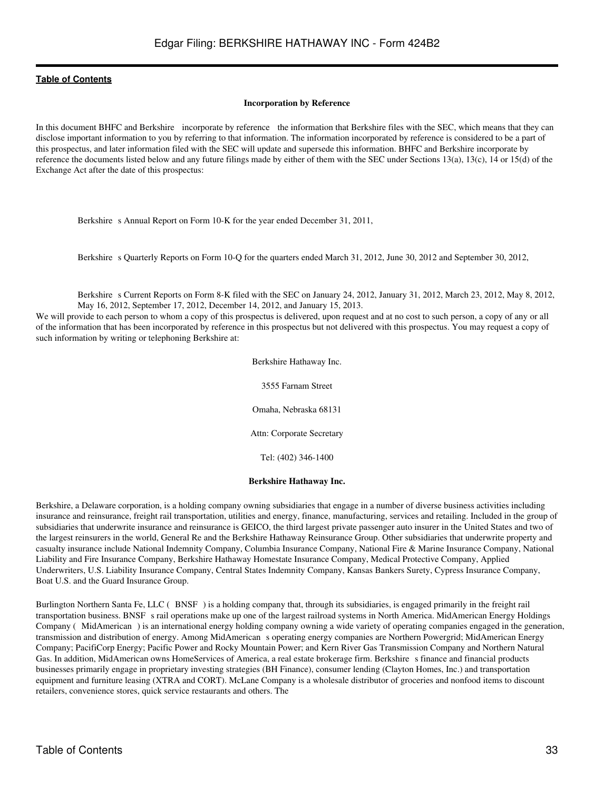#### **Incorporation by Reference**

<span id="page-32-0"></span>In this document BHFC and Berkshire incorporate by reference the information that Berkshire files with the SEC, which means that they can disclose important information to you by referring to that information. The information incorporated by reference is considered to be a part of this prospectus, and later information filed with the SEC will update and supersede this information. BHFC and Berkshire incorporate by reference the documents listed below and any future filings made by either of them with the SEC under Sections 13(a), 13(c), 14 or 15(d) of the Exchange Act after the date of this prospectus:

Berkshire s Annual Report on Form 10-K for the year ended December 31, 2011,

Berkshire s Quarterly Reports on Form 10-Q for the quarters ended March 31, 2012, June 30, 2012 and September 30, 2012,

Berkshire s Current Reports on Form 8-K filed with the SEC on January 24, 2012, January 31, 2012, March 23, 2012, May 8, 2012, May 16, 2012, September 17, 2012, December 14, 2012, and January 15, 2013.

We will provide to each person to whom a copy of this prospectus is delivered, upon request and at no cost to such person, a copy of any or all of the information that has been incorporated by reference in this prospectus but not delivered with this prospectus. You may request a copy of such information by writing or telephoning Berkshire at:

> Berkshire Hathaway Inc. 3555 Farnam Street Omaha, Nebraska 68131 Attn: Corporate Secretary Tel: (402) 346-1400

### **Berkshire Hathaway Inc.**

Berkshire, a Delaware corporation, is a holding company owning subsidiaries that engage in a number of diverse business activities including insurance and reinsurance, freight rail transportation, utilities and energy, finance, manufacturing, services and retailing. Included in the group of subsidiaries that underwrite insurance and reinsurance is GEICO, the third largest private passenger auto insurer in the United States and two of the largest reinsurers in the world, General Re and the Berkshire Hathaway Reinsurance Group. Other subsidiaries that underwrite property and casualty insurance include National Indemnity Company, Columbia Insurance Company, National Fire & Marine Insurance Company, National Liability and Fire Insurance Company, Berkshire Hathaway Homestate Insurance Company, Medical Protective Company, Applied Underwriters, U.S. Liability Insurance Company, Central States Indemnity Company, Kansas Bankers Surety, Cypress Insurance Company, Boat U.S. and the Guard Insurance Group.

Burlington Northern Santa Fe, LLC (BNSF) is a holding company that, through its subsidiaries, is engaged primarily in the freight rail transportation business. BNSF s rail operations make up one of the largest railroad systems in North America. MidAmerican Energy Holdings Company (MidAmerican) is an international energy holding company owning a wide variety of operating companies engaged in the generation, transmission and distribution of energy. Among MidAmerican s operating energy companies are Northern Powergrid; MidAmerican Energy Company; PacifiCorp Energy; Pacific Power and Rocky Mountain Power; and Kern River Gas Transmission Company and Northern Natural Gas. In addition, MidAmerican owns HomeServices of America, a real estate brokerage firm. Berkshire s finance and financial products businesses primarily engage in proprietary investing strategies (BH Finance), consumer lending (Clayton Homes, Inc.) and transportation equipment and furniture leasing (XTRA and CORT). McLane Company is a wholesale distributor of groceries and nonfood items to discount retailers, convenience stores, quick service restaurants and others. The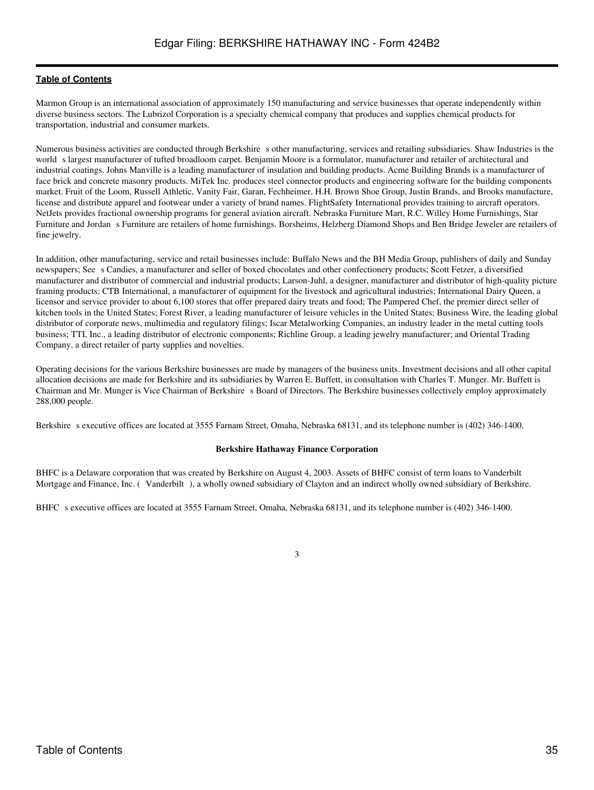Marmon Group is an international association of approximately 150 manufacturing and service businesses that operate independently within diverse business sectors. The Lubrizol Corporation is a specialty chemical company that produces and supplies chemical products for transportation, industrial and consumer markets.

Numerous business activities are conducted through Berkshire s other manufacturing, services and retailing subsidiaries. Shaw Industries is the world s largest manufacturer of tufted broadloom carpet. Benjamin Moore is a formulator, manufacturer and retailer of architectural and industrial coatings. Johns Manville is a leading manufacturer of insulation and building products. Acme Building Brands is a manufacturer of face brick and concrete masonry products. MiTek Inc. produces steel connector products and engineering software for the building components market. Fruit of the Loom, Russell Athletic, Vanity Fair, Garan, Fechheimer, H.H. Brown Shoe Group, Justin Brands, and Brooks manufacture, license and distribute apparel and footwear under a variety of brand names. FlightSafety International provides training to aircraft operators. NetJets provides fractional ownership programs for general aviation aircraft. Nebraska Furniture Mart, R.C. Willey Home Furnishings, Star Furniture and Jordan s Furniture are retailers of home furnishings. Borsheims, Helzberg Diamond Shops and Ben Bridge Jeweler are retailers of fine jewelry.

In addition, other manufacturing, service and retail businesses include: Buffalo News and the BH Media Group, publishers of daily and Sunday newspapers; Sees Candies, a manufacturer and seller of boxed chocolates and other confectionery products; Scott Fetzer, a diversified manufacturer and distributor of commercial and industrial products; Larson-Juhl, a designer, manufacturer and distributor of high-quality picture framing products; CTB International, a manufacturer of equipment for the livestock and agricultural industries; International Dairy Queen, a licensor and service provider to about 6,100 stores that offer prepared dairy treats and food; The Pampered Chef, the premier direct seller of kitchen tools in the United States; Forest River, a leading manufacturer of leisure vehicles in the United States; Business Wire, the leading global distributor of corporate news, multimedia and regulatory filings; Iscar Metalworking Companies, an industry leader in the metal cutting tools business; TTI, Inc., a leading distributor of electronic components; Richline Group, a leading jewelry manufacturer; and Oriental Trading Company, a direct retailer of party supplies and novelties.

Operating decisions for the various Berkshire businesses are made by managers of the business units. Investment decisions and all other capital allocation decisions are made for Berkshire and its subsidiaries by Warren E. Buffett, in consultation with Charles T. Munger. Mr. Buffett is Chairman and Mr. Munger is Vice Chairman of Berkshire s Board of Directors. The Berkshire businesses collectively employ approximately 288,000 people.

Berkshire s executive offices are located at 3555 Farnam Street, Omaha, Nebraska 68131, and its telephone number is (402) 346-1400.

## **Berkshire Hathaway Finance Corporation**

BHFC is a Delaware corporation that was created by Berkshire on August 4, 2003. Assets of BHFC consist of term loans to Vanderbilt Mortgage and Finance, Inc. (Vanderbilt), a wholly owned subsidiary of Clayton and an indirect wholly owned subsidiary of Berkshire.

BHFC s executive offices are located at 3555 Farnam Street, Omaha, Nebraska 68131, and its telephone number is (402) 346-1400.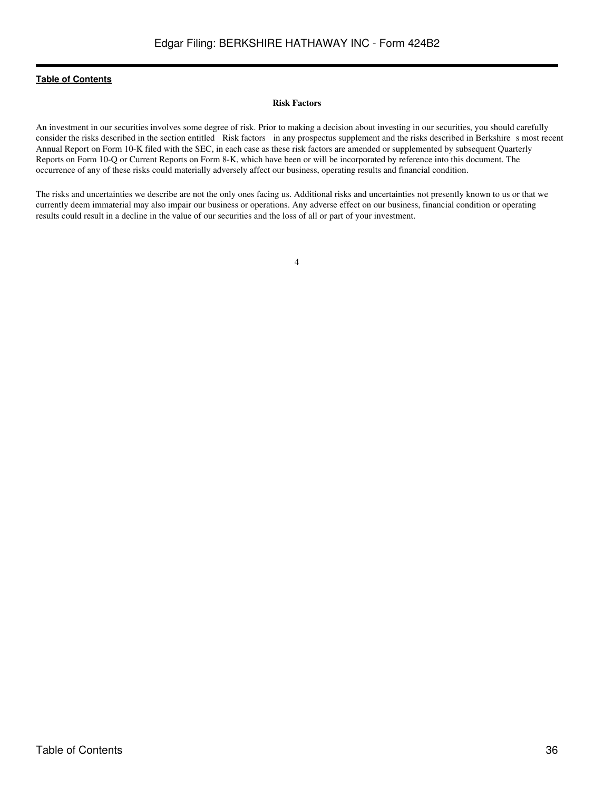#### **Risk Factors**

<span id="page-35-0"></span>An investment in our securities involves some degree of risk. Prior to making a decision about investing in our securities, you should carefully consider the risks described in the section entitled Risk factors in any prospectus supplement and the risks described in Berkshire s most recent Annual Report on Form 10-K filed with the SEC, in each case as these risk factors are amended or supplemented by subsequent Quarterly Reports on Form 10-Q or Current Reports on Form 8-K, which have been or will be incorporated by reference into this document. The occurrence of any of these risks could materially adversely affect our business, operating results and financial condition.

The risks and uncertainties we describe are not the only ones facing us. Additional risks and uncertainties not presently known to us or that we currently deem immaterial may also impair our business or operations. Any adverse effect on our business, financial condition or operating results could result in a decline in the value of our securities and the loss of all or part of your investment.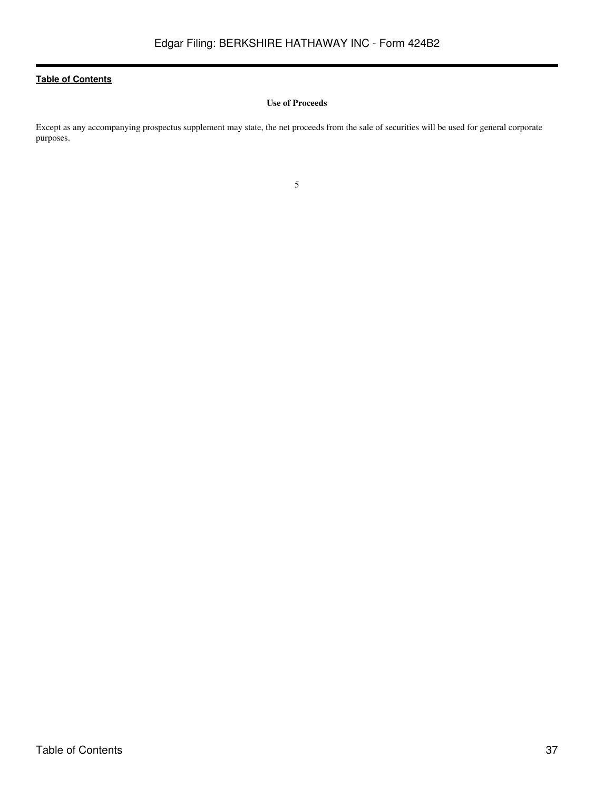## **Use of Proceeds**

<span id="page-36-0"></span>Except as any accompanying prospectus supplement may state, the net proceeds from the sale of securities will be used for general corporate purposes.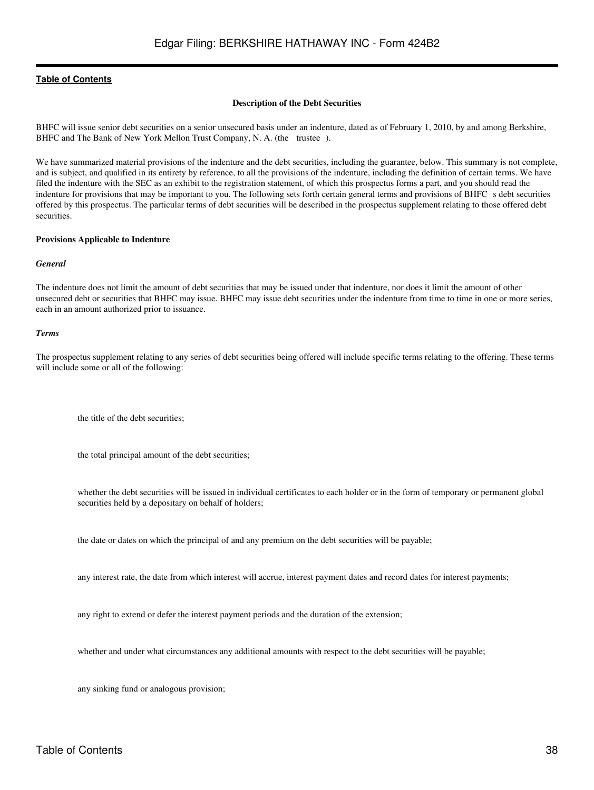#### **Description of the Debt Securities**

<span id="page-37-0"></span>BHFC will issue senior debt securities on a senior unsecured basis under an indenture, dated as of February 1, 2010, by and among Berkshire, BHFC and The Bank of New York Mellon Trust Company, N. A. (the trustee).

We have summarized material provisions of the indenture and the debt securities, including the guarantee, below. This summary is not complete, and is subject, and qualified in its entirety by reference, to all the provisions of the indenture, including the definition of certain terms. We have filed the indenture with the SEC as an exhibit to the registration statement, of which this prospectus forms a part, and you should read the indenture for provisions that may be important to you. The following sets forth certain general terms and provisions of BHFC s debt securities offered by this prospectus. The particular terms of debt securities will be described in the prospectus supplement relating to those offered debt securities.

#### **Provisions Applicable to Indenture**

#### *General*

The indenture does not limit the amount of debt securities that may be issued under that indenture, nor does it limit the amount of other unsecured debt or securities that BHFC may issue. BHFC may issue debt securities under the indenture from time to time in one or more series, each in an amount authorized prior to issuance.

#### *Terms*

The prospectus supplement relating to any series of debt securities being offered will include specific terms relating to the offering. These terms will include some or all of the following:

the title of the debt securities;

the total principal amount of the debt securities;

whether the debt securities will be issued in individual certificates to each holder or in the form of temporary or permanent global securities held by a depositary on behalf of holders;

the date or dates on which the principal of and any premium on the debt securities will be payable;

any interest rate, the date from which interest will accrue, interest payment dates and record dates for interest payments;

any right to extend or defer the interest payment periods and the duration of the extension;

whether and under what circumstances any additional amounts with respect to the debt securities will be payable;

any sinking fund or analogous provision;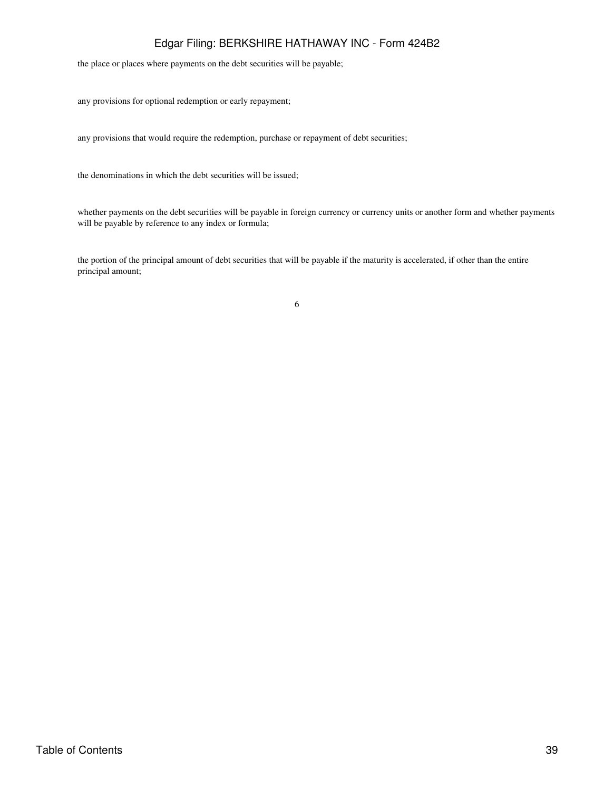## Edgar Filing: BERKSHIRE HATHAWAY INC - Form 424B2

the place or places where payments on the debt securities will be payable;

any provisions for optional redemption or early repayment;

any provisions that would require the redemption, purchase or repayment of debt securities;

the denominations in which the debt securities will be issued;

whether payments on the debt securities will be payable in foreign currency or currency units or another form and whether payments will be payable by reference to any index or formula;

the portion of the principal amount of debt securities that will be payable if the maturity is accelerated, if other than the entire principal amount;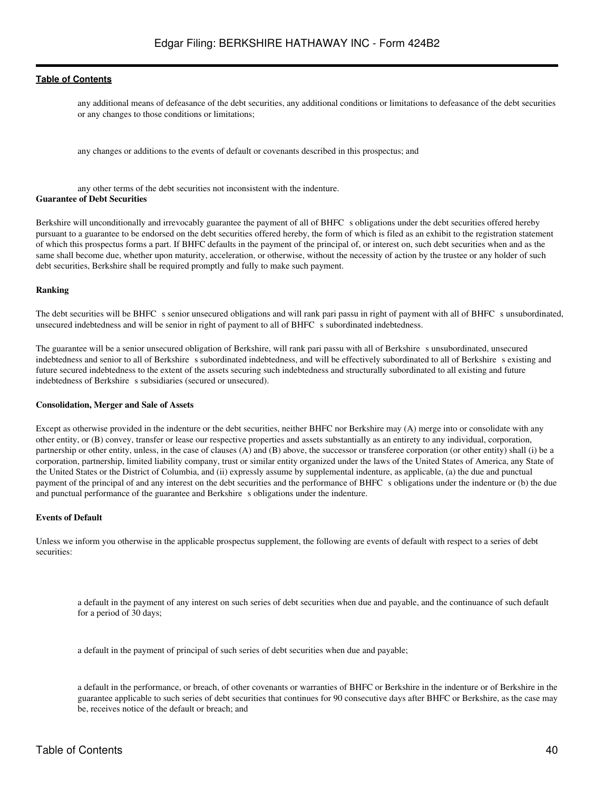any additional means of defeasance of the debt securities, any additional conditions or limitations to defeasance of the debt securities or any changes to those conditions or limitations;

any changes or additions to the events of default or covenants described in this prospectus; and

any other terms of the debt securities not inconsistent with the indenture. **Guarantee of Debt Securities**

Berkshire will unconditionally and irrevocably guarantee the payment of all of BHFC s obligations under the debt securities offered hereby pursuant to a guarantee to be endorsed on the debt securities offered hereby, the form of which is filed as an exhibit to the registration statement of which this prospectus forms a part. If BHFC defaults in the payment of the principal of, or interest on, such debt securities when and as the same shall become due, whether upon maturity, acceleration, or otherwise, without the necessity of action by the trustee or any holder of such debt securities, Berkshire shall be required promptly and fully to make such payment.

#### **Ranking**

The debt securities will be BHFC s senior unsecured obligations and will rank pari passu in right of payment with all of BHFC s unsubordinated, unsecured indebtedness and will be senior in right of payment to all of BHFC s subordinated indebtedness.

The guarantee will be a senior unsecured obligation of Berkshire, will rank pari passu with all of Berkshires unsubordinated, unsecured indebtedness and senior to all of Berkshire subordinated indebtedness, and will be effectively subordinated to all of Berkshire s existing and future secured indebtedness to the extent of the assets securing such indebtedness and structurally subordinated to all existing and future indebtedness of Berkshire s subsidiaries (secured or unsecured).

#### **Consolidation, Merger and Sale of Assets**

Except as otherwise provided in the indenture or the debt securities, neither BHFC nor Berkshire may (A) merge into or consolidate with any other entity, or (B) convey, transfer or lease our respective properties and assets substantially as an entirety to any individual, corporation, partnership or other entity, unless, in the case of clauses (A) and (B) above, the successor or transferee corporation (or other entity) shall (i) be a corporation, partnership, limited liability company, trust or similar entity organized under the laws of the United States of America, any State of the United States or the District of Columbia, and (ii) expressly assume by supplemental indenture, as applicable, (a) the due and punctual payment of the principal of and any interest on the debt securities and the performance of BHFC s obligations under the indenture or (b) the due and punctual performance of the guarantee and Berkshire s obligations under the indenture.

#### **Events of Default**

Unless we inform you otherwise in the applicable prospectus supplement, the following are events of default with respect to a series of debt securities:

a default in the payment of any interest on such series of debt securities when due and payable, and the continuance of such default for a period of 30 days;

a default in the payment of principal of such series of debt securities when due and payable;

a default in the performance, or breach, of other covenants or warranties of BHFC or Berkshire in the indenture or of Berkshire in the guarantee applicable to such series of debt securities that continues for 90 consecutive days after BHFC or Berkshire, as the case may be, receives notice of the default or breach; and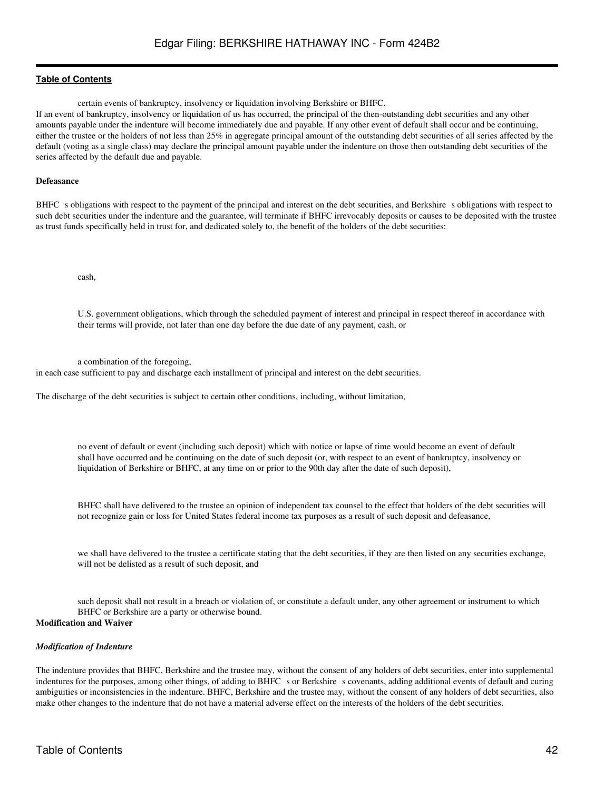certain events of bankruptcy, insolvency or liquidation involving Berkshire or BHFC.

If an event of bankruptcy, insolvency or liquidation of us has occurred, the principal of the then-outstanding debt securities and any other amounts payable under the indenture will become immediately due and payable. If any other event of default shall occur and be continuing, either the trustee or the holders of not less than 25% in aggregate principal amount of the outstanding debt securities of all series affected by the default (voting as a single class) may declare the principal amount payable under the indenture on those then outstanding debt securities of the series affected by the default due and payable.

#### **Defeasance**

BHFC s obligations with respect to the payment of the principal and interest on the debt securities, and Berkshire s obligations with respect to such debt securities under the indenture and the guarantee, will terminate if BHFC irrevocably deposits or causes to be deposited with the trustee as trust funds specifically held in trust for, and dedicated solely to, the benefit of the holders of the debt securities:

cash,

U.S. government obligations, which through the scheduled payment of interest and principal in respect thereof in accordance with their terms will provide, not later than one day before the due date of any payment, cash, or

a combination of the foregoing,

in each case sufficient to pay and discharge each installment of principal and interest on the debt securities.

The discharge of the debt securities is subject to certain other conditions, including, without limitation,

no event of default or event (including such deposit) which with notice or lapse of time would become an event of default shall have occurred and be continuing on the date of such deposit (or, with respect to an event of bankruptcy, insolvency or liquidation of Berkshire or BHFC, at any time on or prior to the 90th day after the date of such deposit),

BHFC shall have delivered to the trustee an opinion of independent tax counsel to the effect that holders of the debt securities will not recognize gain or loss for United States federal income tax purposes as a result of such deposit and defeasance,

we shall have delivered to the trustee a certificate stating that the debt securities, if they are then listed on any securities exchange, will not be delisted as a result of such deposit, and

such deposit shall not result in a breach or violation of, or constitute a default under, any other agreement or instrument to which BHFC or Berkshire are a party or otherwise bound.

## **Modification and Waiver**

#### *Modification of Indenture*

The indenture provides that BHFC, Berkshire and the trustee may, without the consent of any holders of debt securities, enter into supplemental indentures for the purposes, among other things, of adding to BHFC s or Berkshire s covenants, adding additional events of default and curing ambiguities or inconsistencies in the indenture. BHFC, Berkshire and the trustee may, without the consent of any holders of debt securities, also make other changes to the indenture that do not have a material adverse effect on the interests of the holders of the debt securities.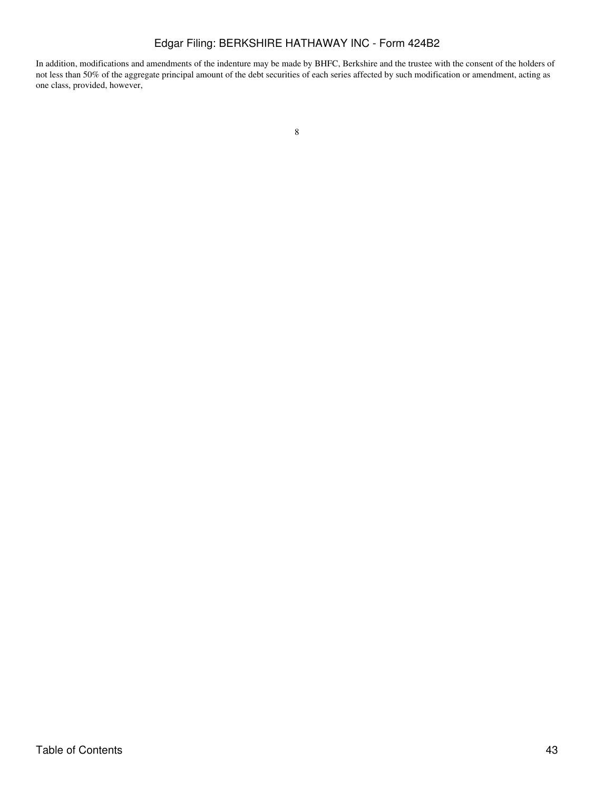## Edgar Filing: BERKSHIRE HATHAWAY INC - Form 424B2

In addition, modifications and amendments of the indenture may be made by BHFC, Berkshire and the trustee with the consent of the holders of not less than 50% of the aggregate principal amount of the debt securities of each series affected by such modification or amendment, acting as one class, provided, however,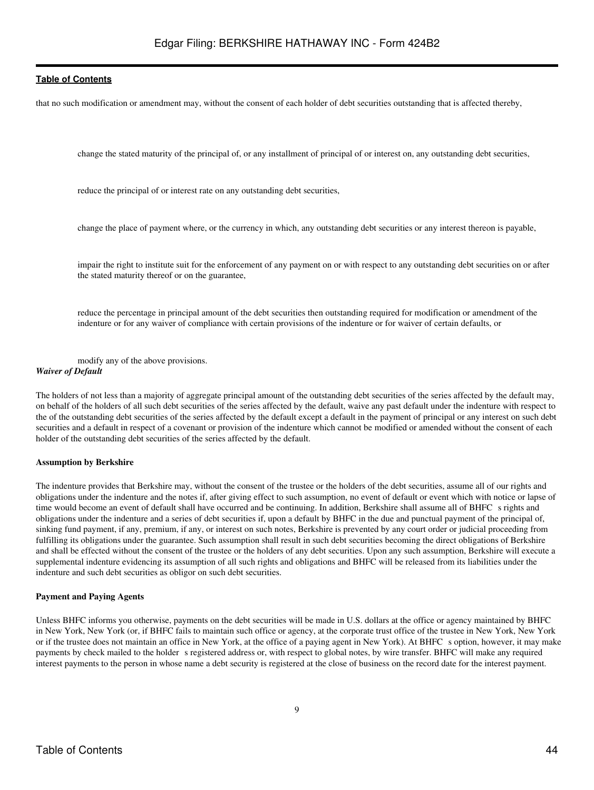that no such modification or amendment may, without the consent of each holder of debt securities outstanding that is affected thereby,

change the stated maturity of the principal of, or any installment of principal of or interest on, any outstanding debt securities,

reduce the principal of or interest rate on any outstanding debt securities,

change the place of payment where, or the currency in which, any outstanding debt securities or any interest thereon is payable,

impair the right to institute suit for the enforcement of any payment on or with respect to any outstanding debt securities on or after the stated maturity thereof or on the guarantee,

reduce the percentage in principal amount of the debt securities then outstanding required for modification or amendment of the indenture or for any waiver of compliance with certain provisions of the indenture or for waiver of certain defaults, or

modify any of the above provisions. *Waiver of Default*

The holders of not less than a majority of aggregate principal amount of the outstanding debt securities of the series affected by the default may, on behalf of the holders of all such debt securities of the series affected by the default, waive any past default under the indenture with respect to the of the outstanding debt securities of the series affected by the default except a default in the payment of principal or any interest on such debt securities and a default in respect of a covenant or provision of the indenture which cannot be modified or amended without the consent of each holder of the outstanding debt securities of the series affected by the default.

#### **Assumption by Berkshire**

The indenture provides that Berkshire may, without the consent of the trustee or the holders of the debt securities, assume all of our rights and obligations under the indenture and the notes if, after giving effect to such assumption, no event of default or event which with notice or lapse of time would become an event of default shall have occurred and be continuing. In addition, Berkshire shall assume all of BHFC s rights and obligations under the indenture and a series of debt securities if, upon a default by BHFC in the due and punctual payment of the principal of, sinking fund payment, if any, premium, if any, or interest on such notes, Berkshire is prevented by any court order or judicial proceeding from fulfilling its obligations under the guarantee. Such assumption shall result in such debt securities becoming the direct obligations of Berkshire and shall be effected without the consent of the trustee or the holders of any debt securities. Upon any such assumption, Berkshire will execute a supplemental indenture evidencing its assumption of all such rights and obligations and BHFC will be released from its liabilities under the indenture and such debt securities as obligor on such debt securities.

#### **Payment and Paying Agents**

Unless BHFC informs you otherwise, payments on the debt securities will be made in U.S. dollars at the office or agency maintained by BHFC in New York, New York (or, if BHFC fails to maintain such office or agency, at the corporate trust office of the trustee in New York, New York or if the trustee does not maintain an office in New York, at the office of a paying agent in New York). At BHFC s option, however, it may make payments by check mailed to the holder s registered address or, with respect to global notes, by wire transfer. BHFC will make any required interest payments to the person in whose name a debt security is registered at the close of business on the record date for the interest payment.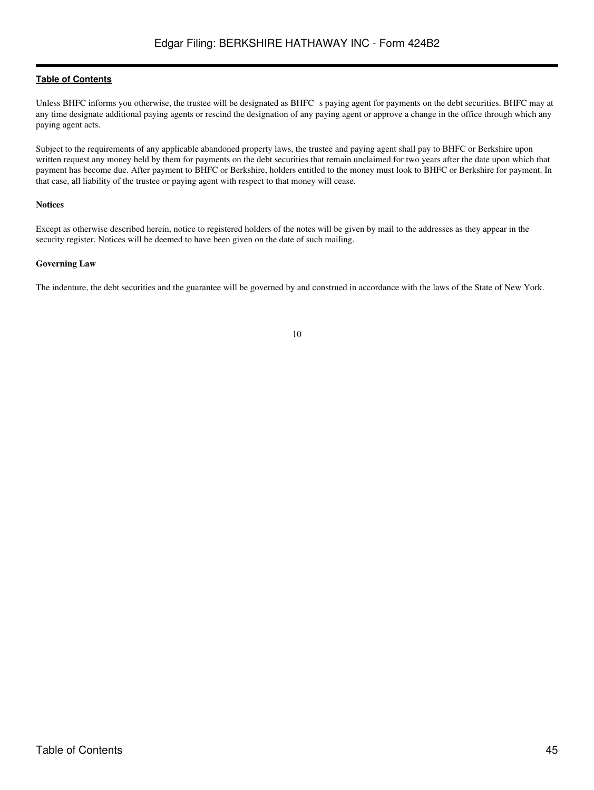Unless BHFC informs you otherwise, the trustee will be designated as BHFC s paying agent for payments on the debt securities. BHFC may at any time designate additional paying agents or rescind the designation of any paying agent or approve a change in the office through which any paying agent acts.

Subject to the requirements of any applicable abandoned property laws, the trustee and paying agent shall pay to BHFC or Berkshire upon written request any money held by them for payments on the debt securities that remain unclaimed for two years after the date upon which that payment has become due. After payment to BHFC or Berkshire, holders entitled to the money must look to BHFC or Berkshire for payment. In that case, all liability of the trustee or paying agent with respect to that money will cease.

#### **Notices**

Except as otherwise described herein, notice to registered holders of the notes will be given by mail to the addresses as they appear in the security register. Notices will be deemed to have been given on the date of such mailing.

### **Governing Law**

The indenture, the debt securities and the guarantee will be governed by and construed in accordance with the laws of the State of New York.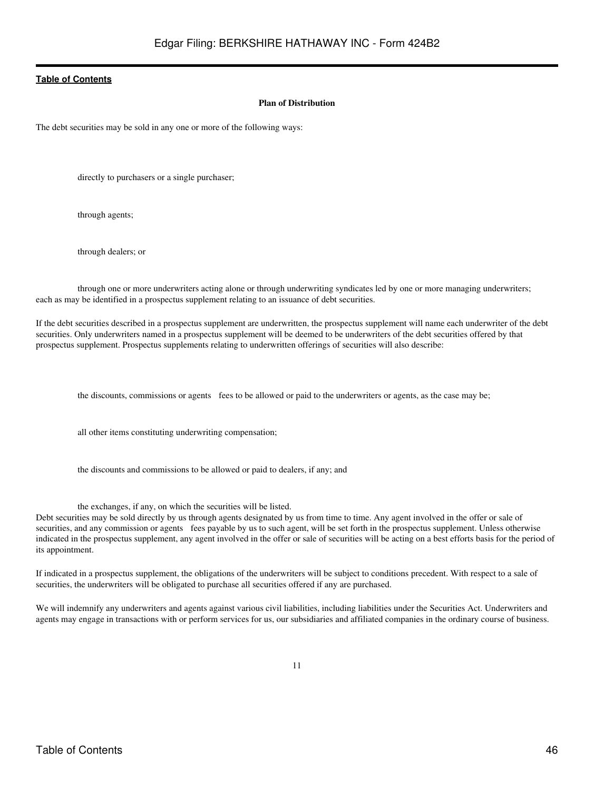#### **Plan of Distribution**

<span id="page-45-0"></span>The debt securities may be sold in any one or more of the following ways:

directly to purchasers or a single purchaser;

through agents;

through dealers; or

through one or more underwriters acting alone or through underwriting syndicates led by one or more managing underwriters; each as may be identified in a prospectus supplement relating to an issuance of debt securities.

If the debt securities described in a prospectus supplement are underwritten, the prospectus supplement will name each underwriter of the debt securities. Only underwriters named in a prospectus supplement will be deemed to be underwriters of the debt securities offered by that prospectus supplement. Prospectus supplements relating to underwritten offerings of securities will also describe:

the discounts, commissions or agents fees to be allowed or paid to the underwriters or agents, as the case may be;

all other items constituting underwriting compensation;

the discounts and commissions to be allowed or paid to dealers, if any; and

the exchanges, if any, on which the securities will be listed.

Debt securities may be sold directly by us through agents designated by us from time to time. Any agent involved in the offer or sale of securities, and any commission or agents fees payable by us to such agent, will be set forth in the prospectus supplement. Unless otherwise indicated in the prospectus supplement, any agent involved in the offer or sale of securities will be acting on a best efforts basis for the period of its appointment.

If indicated in a prospectus supplement, the obligations of the underwriters will be subject to conditions precedent. With respect to a sale of securities, the underwriters will be obligated to purchase all securities offered if any are purchased.

We will indemnify any underwriters and agents against various civil liabilities, including liabilities under the Securities Act. Underwriters and agents may engage in transactions with or perform services for us, our subsidiaries and affiliated companies in the ordinary course of business.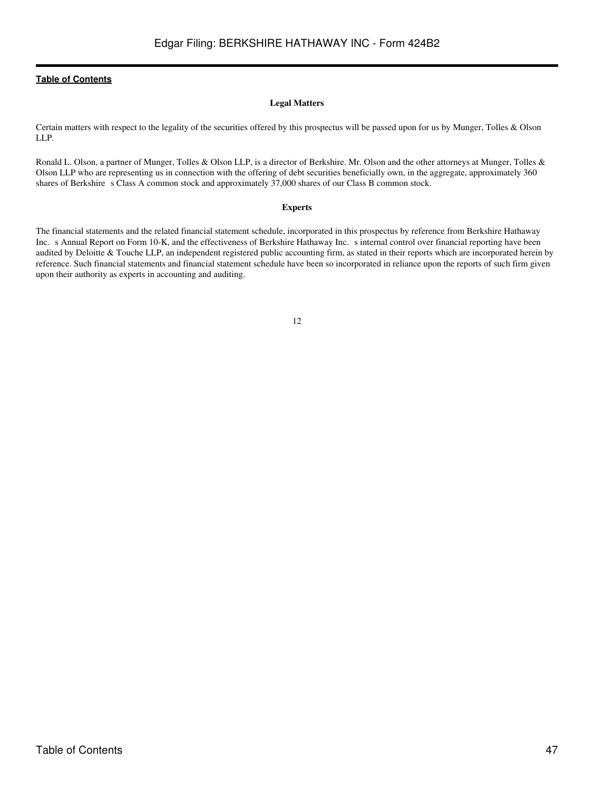## **Legal Matters**

<span id="page-46-0"></span>Certain matters with respect to the legality of the securities offered by this prospectus will be passed upon for us by Munger, Tolles & Olson LLP.

Ronald L. Olson, a partner of Munger, Tolles & Olson LLP, is a director of Berkshire. Mr. Olson and the other attorneys at Munger, Tolles & Olson LLP who are representing us in connection with the offering of debt securities beneficially own, in the aggregate, approximately 360 shares of Berkshire s Class A common stock and approximately 37,000 shares of our Class B common stock.

## **Experts**

<span id="page-46-1"></span>The financial statements and the related financial statement schedule, incorporated in this prospectus by reference from Berkshire Hathaway Inc. s Annual Report on Form 10-K, and the effectiveness of Berkshire Hathaway Inc. s internal control over financial reporting have been audited by Deloitte & Touche LLP, an independent registered public accounting firm, as stated in their reports which are incorporated herein by reference. Such financial statements and financial statement schedule have been so incorporated in reliance upon the reports of such firm given upon their authority as experts in accounting and auditing.